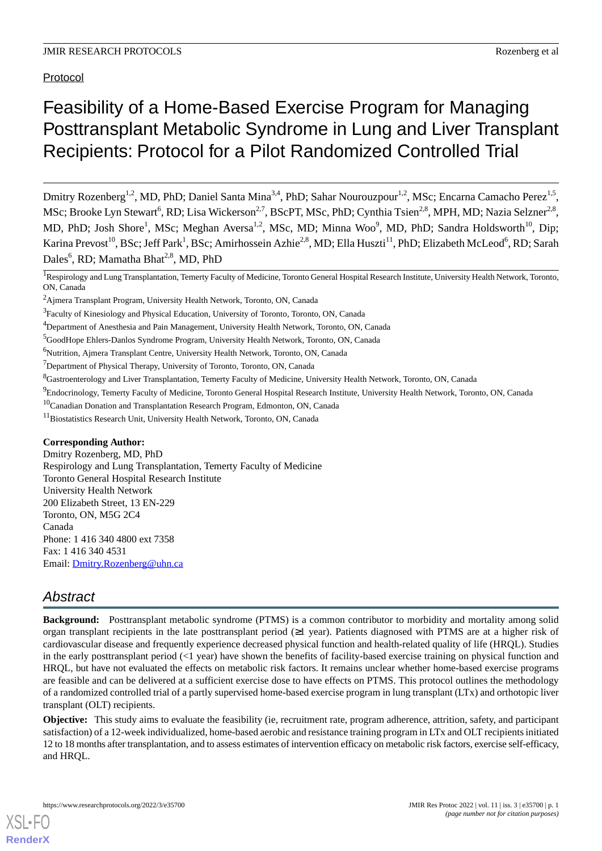Protocol

# Feasibility of a Home-Based Exercise Program for Managing Posttransplant Metabolic Syndrome in Lung and Liver Transplant Recipients: Protocol for a Pilot Randomized Controlled Trial

Dmitry Rozenberg<sup>1,2</sup>, MD, PhD; Daniel Santa Mina<sup>3,4</sup>, PhD; Sahar Nourouzpour<sup>1,2</sup>, MSc; Encarna Camacho Perez<sup>1,5</sup>, MSc; Brooke Lyn Stewart<sup>6</sup>, RD; Lisa Wickerson<sup>2,7</sup>, BScPT, MSc, PhD; Cynthia Tsien<sup>2,8</sup>, MPH, MD; Nazia Selzner<sup>2,8</sup>, MD, PhD; Josh Shore<sup>1</sup>, MSc; Meghan Aversa<sup>1,2</sup>, MSc, MD; Minna Woo<sup>9</sup>, MD, PhD; Sandra Holdsworth<sup>10</sup>, Dip; Karina Prevost<sup>10</sup>, BSc; Jeff Park<sup>1</sup>, BSc; Amirhossein Azhie<sup>2,8</sup>, MD; Ella Huszti<sup>11</sup>, PhD; Elizabeth McLeod<sup>6</sup>, RD; Sarah Dales<sup>6</sup>, RD; Mamatha Bhat<sup>2,8</sup>, MD, PhD

<sup>1</sup>Respirology and Lung Transplantation, Temerty Faculty of Medicine, Toronto General Hospital Research Institute, University Health Network, Toronto, ON, Canada

<sup>10</sup>Canadian Donation and Transplantation Research Program, Edmonton, ON, Canada

# **Corresponding Author:**

Dmitry Rozenberg, MD, PhD Respirology and Lung Transplantation, Temerty Faculty of Medicine Toronto General Hospital Research Institute University Health Network 200 Elizabeth Street, 13 EN-229 Toronto, ON, M5G 2C4 Canada Phone: 1 416 340 4800 ext 7358 Fax: 1 416 340 4531 Email: [Dmitry.Rozenberg@uhn.ca](mailto:Dmitry.Rozenberg@uhn.ca)

# *Abstract*

**Background:** Posttransplant metabolic syndrome (PTMS) is a common contributor to morbidity and mortality among solid organ transplant recipients in the late posttransplant period  $(\geq 1$  year). Patients diagnosed with PTMS are at a higher risk of cardiovascular disease and frequently experience decreased physical function and health-related quality of life (HRQL). Studies in the early posttransplant period  $\ll$ 1 year) have shown the benefits of facility-based exercise training on physical function and HRQL, but have not evaluated the effects on metabolic risk factors. It remains unclear whether home-based exercise programs are feasible and can be delivered at a sufficient exercise dose to have effects on PTMS. This protocol outlines the methodology of a randomized controlled trial of a partly supervised home-based exercise program in lung transplant (LTx) and orthotopic liver transplant (OLT) recipients.

**Objective:** This study aims to evaluate the feasibility (ie, recruitment rate, program adherence, attrition, safety, and participant satisfaction) of a 12-week individualized, home-based aerobic and resistance training program in LTx and OLT recipients initiated 12 to 18 months after transplantation, and to assess estimates of intervention efficacy on metabolic risk factors, exercise self-efficacy, and HRQL.

<sup>2</sup>Ajmera Transplant Program, University Health Network, Toronto, ON, Canada

<sup>&</sup>lt;sup>3</sup> Faculty of Kinesiology and Physical Education, University of Toronto, Toronto, ON, Canada

<sup>4</sup>Department of Anesthesia and Pain Management, University Health Network, Toronto, ON, Canada

<sup>5</sup>GoodHope Ehlers-Danlos Syndrome Program, University Health Network, Toronto, ON, Canada

<sup>&</sup>lt;sup>6</sup>Nutrition, Ajmera Transplant Centre, University Health Network, Toronto, ON, Canada

<sup>&</sup>lt;sup>7</sup>Department of Physical Therapy, University of Toronto, Toronto, ON, Canada

<sup>8</sup>Gastroenterology and Liver Transplantation, Temerty Faculty of Medicine, University Health Network, Toronto, ON, Canada

<sup>&</sup>lt;sup>9</sup>Endocrinology, Temerty Faculty of Medicine, Toronto General Hospital Research Institute, University Health Network, Toronto, ON, Canada

<sup>&</sup>lt;sup>11</sup>Biostatistics Research Unit, University Health Network, Toronto, ON, Canada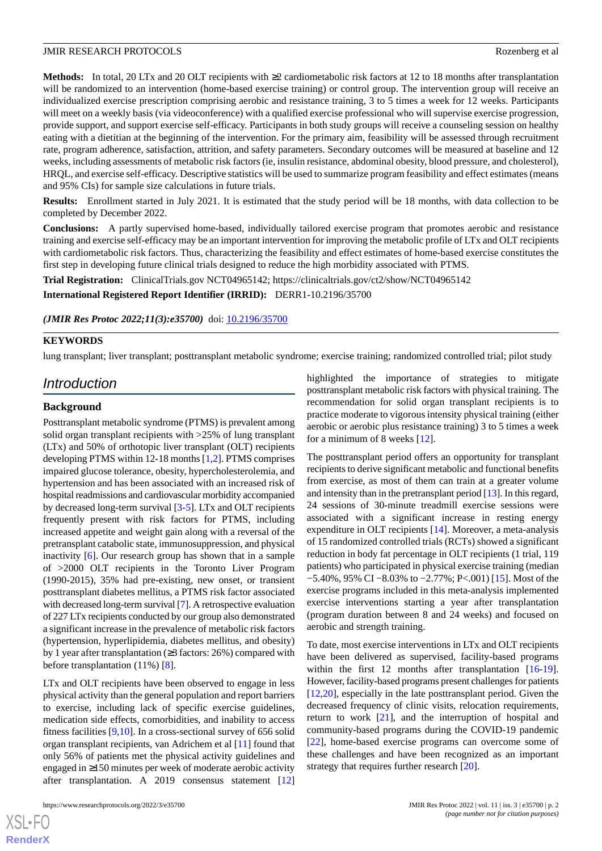**Methods:** In total, 20 LTx and 20 OLT recipients with ≥2 cardiometabolic risk factors at 12 to 18 months after transplantation will be randomized to an intervention (home-based exercise training) or control group. The intervention group will receive an individualized exercise prescription comprising aerobic and resistance training, 3 to 5 times a week for 12 weeks. Participants will meet on a weekly basis (via videoconference) with a qualified exercise professional who will supervise exercise progression, provide support, and support exercise self-efficacy. Participants in both study groups will receive a counseling session on healthy eating with a dietitian at the beginning of the intervention. For the primary aim, feasibility will be assessed through recruitment rate, program adherence, satisfaction, attrition, and safety parameters. Secondary outcomes will be measured at baseline and 12 weeks, including assessments of metabolic risk factors (ie, insulin resistance, abdominal obesity, blood pressure, and cholesterol), HRQL, and exercise self-efficacy. Descriptive statistics will be used to summarize program feasibility and effect estimates (means and 95% CIs) for sample size calculations in future trials.

**Results:** Enrollment started in July 2021. It is estimated that the study period will be 18 months, with data collection to be completed by December 2022.

**Conclusions:** A partly supervised home-based, individually tailored exercise program that promotes aerobic and resistance training and exercise self-efficacy may be an important intervention for improving the metabolic profile of LTx and OLT recipients with cardiometabolic risk factors. Thus, characterizing the feasibility and effect estimates of home-based exercise constitutes the first step in developing future clinical trials designed to reduce the high morbidity associated with PTMS.

**Trial Registration:** ClinicalTrials.gov NCT04965142; https://clinicaltrials.gov/ct2/show/NCT04965142

**International Registered Report Identifier (IRRID):** DERR1-10.2196/35700

#### *(JMIR Res Protoc 2022;11(3):e35700)* doi: [10.2196/35700](http://dx.doi.org/10.2196/35700)

# **KEYWORDS**

lung transplant; liver transplant; posttransplant metabolic syndrome; exercise training; randomized controlled trial; pilot study

# *Introduction*

#### **Background**

Posttransplant metabolic syndrome (PTMS) is prevalent among solid organ transplant recipients with >25% of lung transplant (LTx) and 50% of orthotopic liver transplant (OLT) recipients developing PTMS within 12-18 months [\[1](#page-9-0),[2\]](#page-9-1). PTMS comprises impaired glucose tolerance, obesity, hypercholesterolemia, and hypertension and has been associated with an increased risk of hospital readmissions and cardiovascular morbidity accompanied by decreased long-term survival [\[3](#page-10-0)-[5\]](#page-10-1). LTx and OLT recipients frequently present with risk factors for PTMS, including increased appetite and weight gain along with a reversal of the pretransplant catabolic state, immunosuppression, and physical inactivity [\[6](#page-10-2)]. Our research group has shown that in a sample of >2000 OLT recipients in the Toronto Liver Program (1990-2015), 35% had pre-existing, new onset, or transient posttransplant diabetes mellitus, a PTMS risk factor associated with decreased long-term survival [\[7](#page-10-3)]. A retrospective evaluation of 227 LTx recipients conducted by our group also demonstrated a significant increase in the prevalence of metabolic risk factors (hypertension, hyperlipidemia, diabetes mellitus, and obesity) by 1 year after transplantation (≥3 factors: 26%) compared with before transplantation (11%) [\[8](#page-10-4)].

LTx and OLT recipients have been observed to engage in less physical activity than the general population and report barriers to exercise, including lack of specific exercise guidelines, medication side effects, comorbidities, and inability to access fitness facilities [[9,](#page-10-5)[10](#page-10-6)]. In a cross-sectional survey of 656 solid organ transplant recipients, van Adrichem et al [\[11](#page-10-7)] found that only 56% of patients met the physical activity guidelines and engaged in ≥150 minutes per week of moderate aerobic activity after transplantation. A 2019 consensus statement [\[12](#page-10-8)]

 $XS$  $\cdot$ FC **[RenderX](http://www.renderx.com/)** highlighted the importance of strategies to mitigate posttransplant metabolic risk factors with physical training. The recommendation for solid organ transplant recipients is to practice moderate to vigorous intensity physical training (either aerobic or aerobic plus resistance training) 3 to 5 times a week for a minimum of 8 weeks [\[12](#page-10-8)].

The posttransplant period offers an opportunity for transplant recipients to derive significant metabolic and functional benefits from exercise, as most of them can train at a greater volume and intensity than in the pretransplant period [[13](#page-10-9)]. In this regard, 24 sessions of 30-minute treadmill exercise sessions were associated with a significant increase in resting energy expenditure in OLT recipients [[14\]](#page-10-10). Moreover, a meta-analysis of 15 randomized controlled trials (RCTs) showed a significant reduction in body fat percentage in OLT recipients (1 trial, 119 patients) who participated in physical exercise training (median −5.40%, 95% CI −8.03% to −2.77%; P<.001) [[15\]](#page-10-11). Most of the exercise programs included in this meta-analysis implemented exercise interventions starting a year after transplantation (program duration between 8 and 24 weeks) and focused on aerobic and strength training.

To date, most exercise interventions in LTx and OLT recipients have been delivered as supervised, facility-based programs within the first 12 months after transplantation [[16-](#page-10-12)[19\]](#page-10-13). However, facility-based programs present challenges for patients [[12,](#page-10-8)[20\]](#page-10-14), especially in the late posttransplant period. Given the decreased frequency of clinic visits, relocation requirements, return to work [[21\]](#page-10-15), and the interruption of hospital and community-based programs during the COVID-19 pandemic [[22\]](#page-10-16), home-based exercise programs can overcome some of these challenges and have been recognized as an important strategy that requires further research [[20\]](#page-10-14).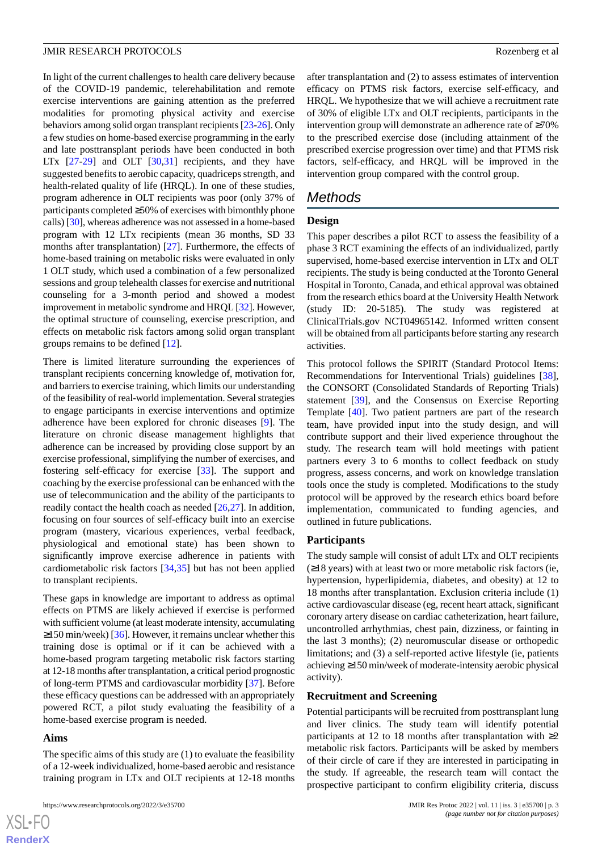In light of the current challenges to health care delivery because of the COVID-19 pandemic, telerehabilitation and remote exercise interventions are gaining attention as the preferred modalities for promoting physical activity and exercise behaviors among solid organ transplant recipients [\[23](#page-11-0)[-26](#page-11-1)]. Only a few studies on home-based exercise programming in the early and late posttransplant periods have been conducted in both LTx [\[27](#page-11-2)-[29\]](#page-11-3) and OLT [[30,](#page-11-4)[31](#page-11-5)] recipients, and they have suggested benefits to aerobic capacity, quadriceps strength, and health-related quality of life (HRQL). In one of these studies, program adherence in OLT recipients was poor (only 37% of participants completed ≥50% of exercises with bimonthly phone calls) [[30\]](#page-11-4), whereas adherence was not assessed in a home-based program with 12 LTx recipients (mean 36 months, SD 33 months after transplantation) [[27\]](#page-11-2). Furthermore, the effects of home-based training on metabolic risks were evaluated in only 1 OLT study, which used a combination of a few personalized sessions and group telehealth classes for exercise and nutritional counseling for a 3-month period and showed a modest improvement in metabolic syndrome and HRQL [\[32](#page-11-6)]. However, the optimal structure of counseling, exercise prescription, and effects on metabolic risk factors among solid organ transplant groups remains to be defined [\[12](#page-10-8)].

There is limited literature surrounding the experiences of transplant recipients concerning knowledge of, motivation for, and barriers to exercise training, which limits our understanding of the feasibility of real-world implementation. Several strategies to engage participants in exercise interventions and optimize adherence have been explored for chronic diseases [\[9](#page-10-5)]. The literature on chronic disease management highlights that adherence can be increased by providing close support by an exercise professional, simplifying the number of exercises, and fostering self-efficacy for exercise [\[33](#page-11-7)]. The support and coaching by the exercise professional can be enhanced with the use of telecommunication and the ability of the participants to readily contact the health coach as needed [\[26](#page-11-1),[27\]](#page-11-2). In addition, focusing on four sources of self-efficacy built into an exercise program (mastery, vicarious experiences, verbal feedback, physiological and emotional state) has been shown to significantly improve exercise adherence in patients with cardiometabolic risk factors [\[34](#page-11-8),[35\]](#page-11-9) but has not been applied to transplant recipients.

These gaps in knowledge are important to address as optimal effects on PTMS are likely achieved if exercise is performed with sufficient volume (at least moderate intensity, accumulating  $\geq$ 150 min/week) [[36\]](#page-11-10). However, it remains unclear whether this training dose is optimal or if it can be achieved with a home-based program targeting metabolic risk factors starting at 12-18 months after transplantation, a critical period prognostic of long-term PTMS and cardiovascular morbidity [\[37](#page-11-11)]. Before these efficacy questions can be addressed with an appropriately powered RCT, a pilot study evaluating the feasibility of a home-based exercise program is needed.

#### **Aims**

 $XS$  $\cdot$ FC **[RenderX](http://www.renderx.com/)**

The specific aims of this study are (1) to evaluate the feasibility of a 12-week individualized, home-based aerobic and resistance training program in LTx and OLT recipients at 12-18 months

after transplantation and (2) to assess estimates of intervention efficacy on PTMS risk factors, exercise self-efficacy, and HRQL. We hypothesize that we will achieve a recruitment rate of 30% of eligible LTx and OLT recipients, participants in the intervention group will demonstrate an adherence rate of ≥70% to the prescribed exercise dose (including attainment of the prescribed exercise progression over time) and that PTMS risk factors, self-efficacy, and HRQL will be improved in the intervention group compared with the control group.

# *Methods*

#### **Design**

This paper describes a pilot RCT to assess the feasibility of a phase 3 RCT examining the effects of an individualized, partly supervised, home-based exercise intervention in LTx and OLT recipients. The study is being conducted at the Toronto General Hospital in Toronto, Canada, and ethical approval was obtained from the research ethics board at the University Health Network (study ID: 20-5185). The study was registered at ClinicalTrials.gov NCT04965142. Informed written consent will be obtained from all participants before starting any research activities.

This protocol follows the SPIRIT (Standard Protocol Items: Recommendations for Interventional Trials) guidelines [[38\]](#page-11-12), the CONSORT (Consolidated Standards of Reporting Trials) statement [[39\]](#page-11-13), and the Consensus on Exercise Reporting Template [[40\]](#page-11-14). Two patient partners are part of the research team, have provided input into the study design, and will contribute support and their lived experience throughout the study. The research team will hold meetings with patient partners every 3 to 6 months to collect feedback on study progress, assess concerns, and work on knowledge translation tools once the study is completed. Modifications to the study protocol will be approved by the research ethics board before implementation, communicated to funding agencies, and outlined in future publications.

#### **Participants**

The study sample will consist of adult LTx and OLT recipients (≥18 years) with at least two or more metabolic risk factors (ie, hypertension, hyperlipidemia, diabetes, and obesity) at 12 to 18 months after transplantation. Exclusion criteria include (1) active cardiovascular disease (eg, recent heart attack, significant coronary artery disease on cardiac catheterization, heart failure, uncontrolled arrhythmias, chest pain, dizziness, or fainting in the last 3 months); (2) neuromuscular disease or orthopedic limitations; and (3) a self-reported active lifestyle (ie, patients achieving ≥150 min/week of moderate-intensity aerobic physical activity).

#### **Recruitment and Screening**

Potential participants will be recruited from posttransplant lung and liver clinics. The study team will identify potential participants at 12 to 18 months after transplantation with  $\geq$ 2 metabolic risk factors. Participants will be asked by members of their circle of care if they are interested in participating in the study. If agreeable, the research team will contact the prospective participant to confirm eligibility criteria, discuss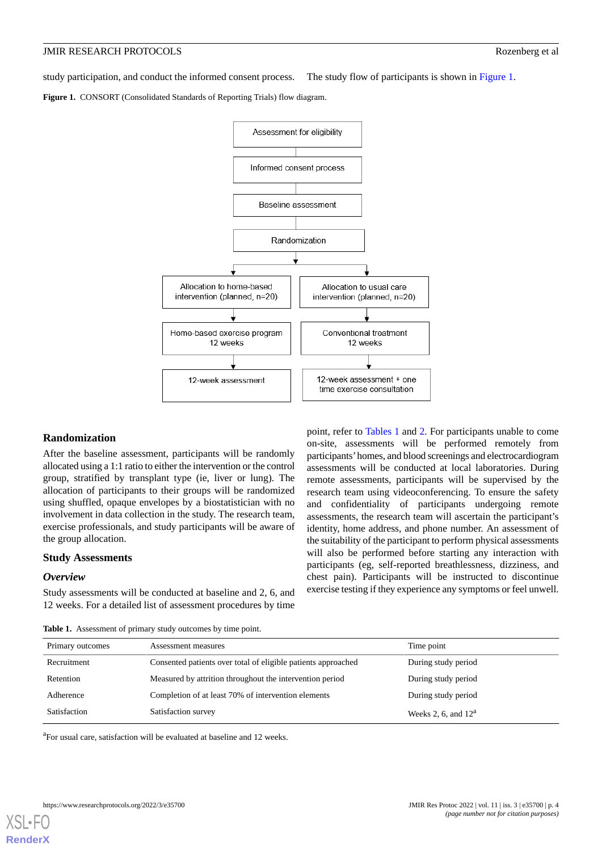study participation, and conduct the informed consent process. The study flow of participants is shown in [Figure 1.](#page-3-0)

<span id="page-3-0"></span>**Figure 1.** CONSORT (Consolidated Standards of Reporting Trials) flow diagram.



#### **Randomization**

After the baseline assessment, participants will be randomly allocated using a 1:1 ratio to either the intervention or the control group, stratified by transplant type (ie, liver or lung). The allocation of participants to their groups will be randomized using shuffled, opaque envelopes by a biostatistician with no involvement in data collection in the study. The research team, exercise professionals, and study participants will be aware of the group allocation.

#### <span id="page-3-1"></span>**Study Assessments**

#### *Overview*

Study assessments will be conducted at baseline and 2, 6, and 12 weeks. For a detailed list of assessment procedures by time

point, refer to [Tables 1](#page-3-1) and [2](#page-4-0). For participants unable to come on-site, assessments will be performed remotely from participants'homes, and blood screenings and electrocardiogram assessments will be conducted at local laboratories. During remote assessments, participants will be supervised by the research team using videoconferencing. To ensure the safety and confidentiality of participants undergoing remote assessments, the research team will ascertain the participant's identity, home address, and phone number. An assessment of the suitability of the participant to perform physical assessments will also be performed before starting any interaction with participants (eg, self-reported breathlessness, dizziness, and chest pain). Participants will be instructed to discontinue exercise testing if they experience any symptoms or feel unwell.

**Table 1.** Assessment of primary study outcomes by time point.

| Primary outcomes | Assessment measures                                           | Time point                    |
|------------------|---------------------------------------------------------------|-------------------------------|
| Recruitment      | Consented patients over total of eligible patients approached | During study period           |
| Retention        | Measured by attrition throughout the intervention period      | During study period           |
| Adherence        | Completion of at least 70% of intervention elements           | During study period           |
| Satisfaction     | Satisfaction survey                                           | Weeks 2, 6, and $12^{\alpha}$ |

<sup>a</sup>For usual care, satisfaction will be evaluated at baseline and 12 weeks.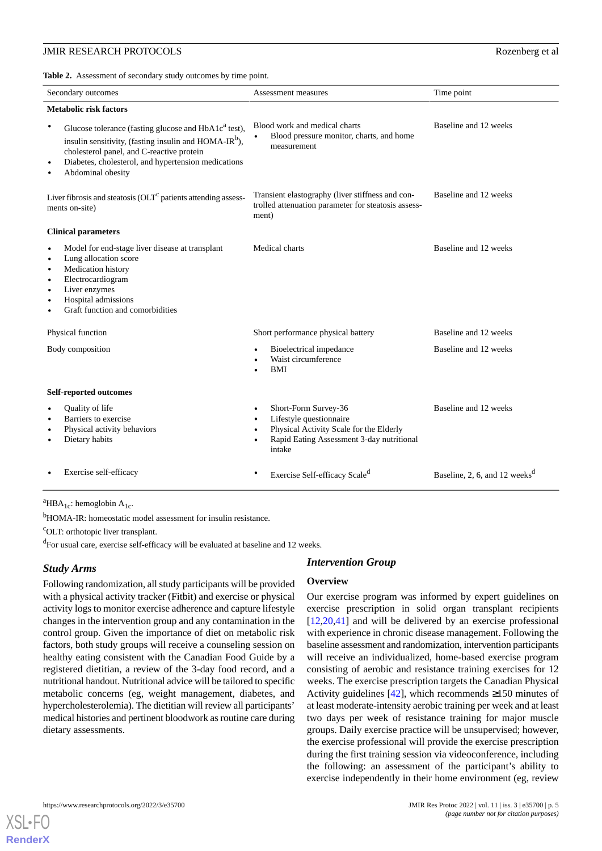<span id="page-4-0"></span>**Table 2.** Assessment of secondary study outcomes by time point.

| Secondary outcomes                                                                                                                                                                                                                                                                                    | Assessment measures                                                                                                                                                         | Time point                                |
|-------------------------------------------------------------------------------------------------------------------------------------------------------------------------------------------------------------------------------------------------------------------------------------------------------|-----------------------------------------------------------------------------------------------------------------------------------------------------------------------------|-------------------------------------------|
| <b>Metabolic risk factors</b>                                                                                                                                                                                                                                                                         |                                                                                                                                                                             |                                           |
| $\bullet$<br>Glucose tolerance (fasting glucose and HbA1c <sup>a</sup> test),<br>insulin sensitivity, (fasting insulin and HOMA-IR <sup>b</sup> ),<br>cholesterol panel, and C-reactive protein<br>Diabetes, cholesterol, and hypertension medications<br>$\bullet$<br>Abdominal obesity<br>$\bullet$ | Blood work and medical charts<br>Blood pressure monitor, charts, and home<br>$\bullet$<br>measurement                                                                       | Baseline and 12 weeks                     |
| Liver fibrosis and steatosis $(OLTc$ patients attending assess-<br>ments on-site)                                                                                                                                                                                                                     | Transient elastography (liver stiffness and con-<br>trolled attenuation parameter for steatosis assess-<br>ment)                                                            | Baseline and 12 weeks                     |
| <b>Clinical parameters</b>                                                                                                                                                                                                                                                                            |                                                                                                                                                                             |                                           |
| Model for end-stage liver disease at transplant<br>$\bullet$<br>Lung allocation score<br>$\bullet$<br>Medication history<br>$\bullet$<br>Electrocardiogram<br>$\bullet$<br>Liver enzymes<br>$\bullet$<br>Hospital admissions<br>$\bullet$<br>Graft function and comorbidities<br>$\bullet$            | Medical charts                                                                                                                                                              | Baseline and 12 weeks                     |
| Physical function                                                                                                                                                                                                                                                                                     | Short performance physical battery                                                                                                                                          | Baseline and 12 weeks                     |
| Body composition                                                                                                                                                                                                                                                                                      | Bioelectrical impedance<br>Waist circumference<br><b>BMI</b>                                                                                                                | Baseline and 12 weeks                     |
| Self-reported outcomes                                                                                                                                                                                                                                                                                |                                                                                                                                                                             |                                           |
| Quality of life<br>$\bullet$<br>Barriers to exercise<br>$\bullet$<br>Physical activity behaviors<br>$\bullet$<br>Dietary habits<br>$\bullet$                                                                                                                                                          | Short-Form Survey-36<br>$\bullet$<br>Lifestyle questionnaire<br>Physical Activity Scale for the Elderly<br>Rapid Eating Assessment 3-day nutritional<br>$\bullet$<br>intake | Baseline and 12 weeks                     |
| Exercise self-efficacy                                                                                                                                                                                                                                                                                | Exercise Self-efficacy Scale <sup>d</sup>                                                                                                                                   | Baseline, 2, 6, and 12 weeks <sup>d</sup> |

<sup>a</sup>HBA<sub>1c</sub>: hemoglobin A<sub>1c</sub>.

<sup>b</sup>HOMA-IR: homeostatic model assessment for insulin resistance.

<sup>c</sup>OLT: orthotopic liver transplant.

<sup>d</sup>For usual care, exercise self-efficacy will be evaluated at baseline and 12 weeks.

# *Study Arms*

Following randomization, all study participants will be provided with a physical activity tracker (Fitbit) and exercise or physical activity logs to monitor exercise adherence and capture lifestyle changes in the intervention group and any contamination in the control group. Given the importance of diet on metabolic risk factors, both study groups will receive a counseling session on healthy eating consistent with the Canadian Food Guide by a registered dietitian, a review of the 3-day food record, and a nutritional handout. Nutritional advice will be tailored to specific metabolic concerns (eg, weight management, diabetes, and hypercholesterolemia). The dietitian will review all participants' medical histories and pertinent bloodwork as routine care during dietary assessments.

#### *Intervention Group*

#### **Overview**

Our exercise program was informed by expert guidelines on exercise prescription in solid organ transplant recipients [[12,](#page-10-8)[20,](#page-10-14)[41\]](#page-11-15) and will be delivered by an exercise professional with experience in chronic disease management. Following the baseline assessment and randomization, intervention participants will receive an individualized, home-based exercise program consisting of aerobic and resistance training exercises for 12 weeks. The exercise prescription targets the Canadian Physical Activity guidelines  $[42]$  $[42]$ , which recommends ≥150 minutes of at least moderate-intensity aerobic training per week and at least two days per week of resistance training for major muscle groups. Daily exercise practice will be unsupervised; however, the exercise professional will provide the exercise prescription during the first training session via videoconference, including the following: an assessment of the participant's ability to exercise independently in their home environment (eg, review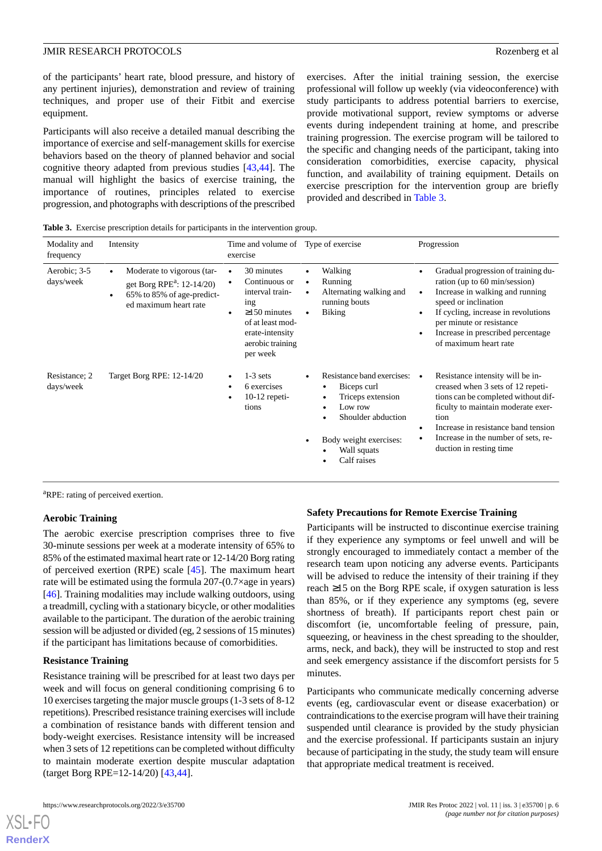of the participants' heart rate, blood pressure, and history of any pertinent injuries), demonstration and review of training techniques, and proper use of their Fitbit and exercise equipment.

Participants will also receive a detailed manual describing the importance of exercise and self-management skills for exercise behaviors based on the theory of planned behavior and social cognitive theory adapted from previous studies [[43](#page-12-0)[,44](#page-12-1)]. The manual will highlight the basics of exercise training, the importance of routines, principles related to exercise progression, and photographs with descriptions of the prescribed

exercises. After the initial training session, the exercise professional will follow up weekly (via videoconference) with study participants to address potential barriers to exercise, provide motivational support, review symptoms or adverse events during independent training at home, and prescribe training progression. The exercise program will be tailored to the specific and changing needs of the participant, taking into consideration comorbidities, exercise capacity, physical function, and availability of training equipment. Details on exercise prescription for the intervention group are briefly provided and described in [Table 3](#page-5-0).

<span id="page-5-0"></span>**Table 3.** Exercise prescription details for participants in the intervention group.

| Modality and<br>frequency  | Intensity                                                                                                                     | Time and volume of Type of exercise<br>exercise                                                                                                    |                                                                                                                                                         | Progression                                                                                                                                                                                                                                                                                                          |
|----------------------------|-------------------------------------------------------------------------------------------------------------------------------|----------------------------------------------------------------------------------------------------------------------------------------------------|---------------------------------------------------------------------------------------------------------------------------------------------------------|----------------------------------------------------------------------------------------------------------------------------------------------------------------------------------------------------------------------------------------------------------------------------------------------------------------------|
| Aerobic; 3-5<br>days/week  | Moderate to vigorous (tar-<br>get Borg RPE <sup>a</sup> : $12-14/20$ )<br>65% to 85% of age-predict-<br>ed maximum heart rate | 30 minutes<br>Continuous or<br>interval train-<br>ing<br>$\geq$ 150 minutes<br>of at least mod-<br>erate-intensity<br>aerobic training<br>per week | Walking<br>Running<br>Alternating walking and<br>running bouts<br><b>Biking</b>                                                                         | Gradual progression of training du-<br>$\bullet$<br>ration (up to 60 min/session)<br>Increase in walking and running<br>$\bullet$<br>speed or inclination<br>If cycling, increase in revolutions<br>$\bullet$<br>per minute or resistance<br>Increase in prescribed percentage<br>$\bullet$<br>of maximum heart rate |
| Resistance; 2<br>days/week | Target Borg RPE: 12-14/20                                                                                                     | $1-3$ sets<br>6 exercises<br>$10-12$ repeti-<br>tions                                                                                              | Resistance band exercises:<br>Biceps curl<br>Triceps extension<br>Low row<br>Shoulder abduction<br>Body weight exercises:<br>Wall squats<br>Calf raises | Resistance intensity will be in-<br>creased when 3 sets of 12 repeti-<br>tions can be completed without dif-<br>ficulty to maintain moderate exer-<br>tion<br>Increase in resistance band tension<br>$\bullet$<br>Increase in the number of sets, re-<br>$\bullet$<br>duction in resting time                        |

<sup>a</sup>RPE: rating of perceived exertion.

#### **Aerobic Training**

The aerobic exercise prescription comprises three to five 30-minute sessions per week at a moderate intensity of 65% to 85% of the estimated maximal heart rate or 12-14/20 Borg rating of perceived exertion (RPE) scale [[45\]](#page-12-2). The maximum heart rate will be estimated using the formula 207-(0.7×age in years) [[46\]](#page-12-3). Training modalities may include walking outdoors, using a treadmill, cycling with a stationary bicycle, or other modalities available to the participant. The duration of the aerobic training session will be adjusted or divided (eg, 2 sessions of 15 minutes) if the participant has limitations because of comorbidities.

#### **Resistance Training**

Resistance training will be prescribed for at least two days per week and will focus on general conditioning comprising 6 to 10 exercises targeting the major muscle groups (1-3 sets of 8-12 repetitions). Prescribed resistance training exercises will include a combination of resistance bands with different tension and body-weight exercises. Resistance intensity will be increased when 3 sets of 12 repetitions can be completed without difficulty to maintain moderate exertion despite muscular adaptation (target Borg RPE=12-14/20) [\[43](#page-12-0)[,44](#page-12-1)].

# **Safety Precautions for Remote Exercise Training**

Participants will be instructed to discontinue exercise training if they experience any symptoms or feel unwell and will be strongly encouraged to immediately contact a member of the research team upon noticing any adverse events. Participants will be advised to reduce the intensity of their training if they reach ≥15 on the Borg RPE scale, if oxygen saturation is less than 85%, or if they experience any symptoms (eg, severe shortness of breath). If participants report chest pain or discomfort (ie, uncomfortable feeling of pressure, pain, squeezing, or heaviness in the chest spreading to the shoulder, arms, neck, and back), they will be instructed to stop and rest and seek emergency assistance if the discomfort persists for 5 minutes.

Participants who communicate medically concerning adverse events (eg, cardiovascular event or disease exacerbation) or contraindications to the exercise program will have their training suspended until clearance is provided by the study physician and the exercise professional. If participants sustain an injury because of participating in the study, the study team will ensure that appropriate medical treatment is received.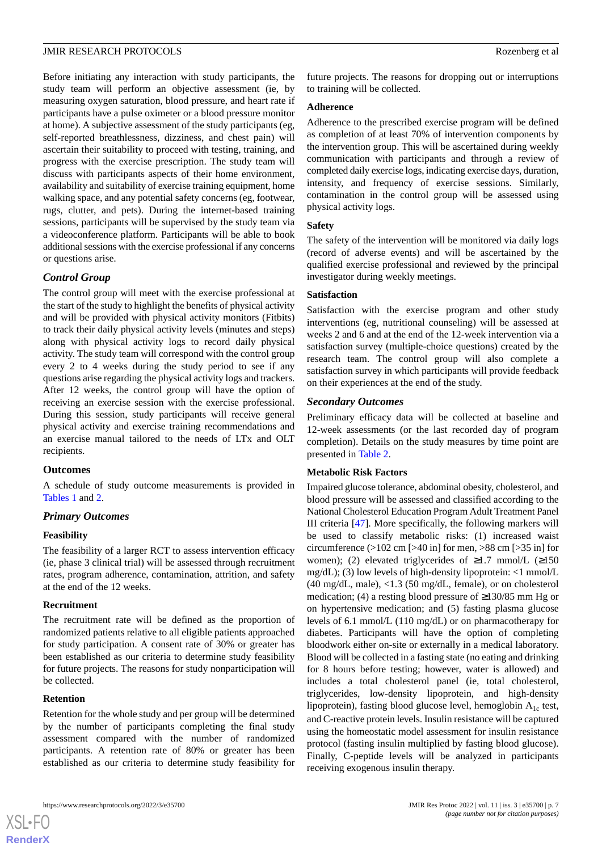Before initiating any interaction with study participants, the study team will perform an objective assessment (ie, by measuring oxygen saturation, blood pressure, and heart rate if participants have a pulse oximeter or a blood pressure monitor at home). A subjective assessment of the study participants (eg, self-reported breathlessness, dizziness, and chest pain) will ascertain their suitability to proceed with testing, training, and progress with the exercise prescription. The study team will discuss with participants aspects of their home environment, availability and suitability of exercise training equipment, home walking space, and any potential safety concerns (eg, footwear, rugs, clutter, and pets). During the internet-based training sessions, participants will be supervised by the study team via a videoconference platform. Participants will be able to book additional sessions with the exercise professional if any concerns or questions arise.

# *Control Group*

The control group will meet with the exercise professional at the start of the study to highlight the benefits of physical activity and will be provided with physical activity monitors (Fitbits) to track their daily physical activity levels (minutes and steps) along with physical activity logs to record daily physical activity. The study team will correspond with the control group every 2 to 4 weeks during the study period to see if any questions arise regarding the physical activity logs and trackers. After 12 weeks, the control group will have the option of receiving an exercise session with the exercise professional. During this session, study participants will receive general physical activity and exercise training recommendations and an exercise manual tailored to the needs of LTx and OLT recipients.

#### **Outcomes**

A schedule of study outcome measurements is provided in [Tables 1](#page-3-1) and [2](#page-4-0).

# *Primary Outcomes*

#### **Feasibility**

The feasibility of a larger RCT to assess intervention efficacy (ie, phase 3 clinical trial) will be assessed through recruitment rates, program adherence, contamination, attrition, and safety at the end of the 12 weeks.

#### **Recruitment**

The recruitment rate will be defined as the proportion of randomized patients relative to all eligible patients approached for study participation. A consent rate of 30% or greater has been established as our criteria to determine study feasibility for future projects. The reasons for study nonparticipation will be collected.

#### **Retention**

[XSL](http://www.w3.org/Style/XSL)•FO **[RenderX](http://www.renderx.com/)**

Retention for the whole study and per group will be determined by the number of participants completing the final study assessment compared with the number of randomized participants. A retention rate of 80% or greater has been established as our criteria to determine study feasibility for future projects. The reasons for dropping out or interruptions to training will be collected.

#### **Adherence**

Adherence to the prescribed exercise program will be defined as completion of at least 70% of intervention components by the intervention group. This will be ascertained during weekly communication with participants and through a review of completed daily exercise logs, indicating exercise days, duration, intensity, and frequency of exercise sessions. Similarly, contamination in the control group will be assessed using physical activity logs.

#### **Safety**

The safety of the intervention will be monitored via daily logs (record of adverse events) and will be ascertained by the qualified exercise professional and reviewed by the principal investigator during weekly meetings.

#### **Satisfaction**

Satisfaction with the exercise program and other study interventions (eg, nutritional counseling) will be assessed at weeks 2 and 6 and at the end of the 12-week intervention via a satisfaction survey (multiple-choice questions) created by the research team. The control group will also complete a satisfaction survey in which participants will provide feedback on their experiences at the end of the study.

#### *Secondary Outcomes*

Preliminary efficacy data will be collected at baseline and 12-week assessments (or the last recorded day of program completion). Details on the study measures by time point are presented in [Table 2](#page-4-0).

#### **Metabolic Risk Factors**

Impaired glucose tolerance, abdominal obesity, cholesterol, and blood pressure will be assessed and classified according to the National Cholesterol Education Program Adult Treatment Panel III criteria [\[47](#page-12-4)]. More specifically, the following markers will be used to classify metabolic risks: (1) increased waist circumference  $(>102 \text{ cm}$  [ $>40 \text{ in}$ ] for men,  $>88 \text{ cm}$  [ $>35 \text{ in}$ ] for women); (2) elevated triglycerides of  $\geq$ 1.7 mmol/L ( $\geq$ 150 mg/dL); (3) low levels of high-density lipoprotein:  $\langle$ 1 mmol/L (40 mg/dL, male), <1.3 (50 mg/dL, female), or on cholesterol medication; (4) a resting blood pressure of ≥130/85 mm Hg or on hypertensive medication; and (5) fasting plasma glucose levels of 6.1 mmol/L (110 mg/dL) or on pharmacotherapy for diabetes. Participants will have the option of completing bloodwork either on-site or externally in a medical laboratory. Blood will be collected in a fasting state (no eating and drinking for 8 hours before testing; however, water is allowed) and includes a total cholesterol panel (ie, total cholesterol, triglycerides, low-density lipoprotein, and high-density lipoprotein), fasting blood glucose level, hemoglobin  $A_{1c}$  test, and C-reactive protein levels. Insulin resistance will be captured using the homeostatic model assessment for insulin resistance protocol (fasting insulin multiplied by fasting blood glucose). Finally, C-peptide levels will be analyzed in participants receiving exogenous insulin therapy.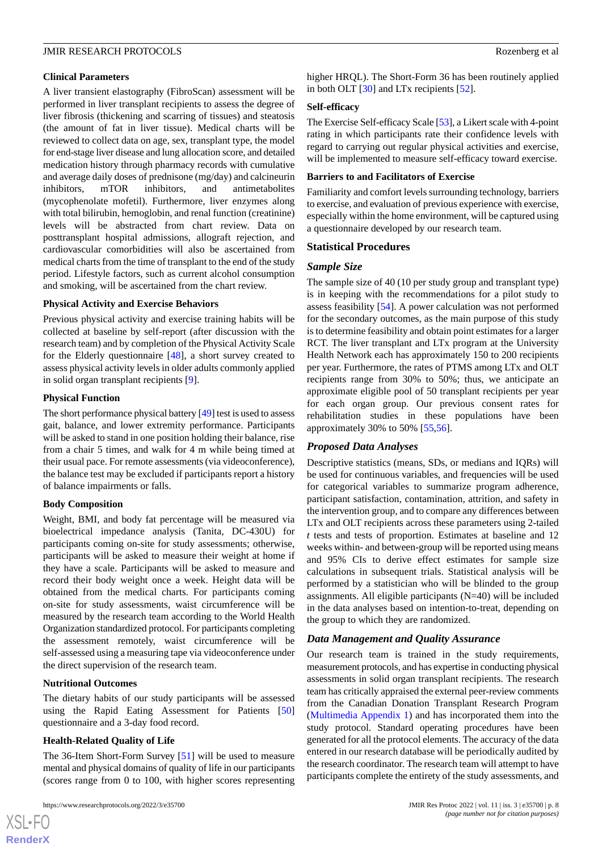#### **Clinical Parameters**

A liver transient elastography (FibroScan) assessment will be performed in liver transplant recipients to assess the degree of liver fibrosis (thickening and scarring of tissues) and steatosis (the amount of fat in liver tissue). Medical charts will be reviewed to collect data on age, sex, transplant type, the model for end-stage liver disease and lung allocation score, and detailed medication history through pharmacy records with cumulative and average daily doses of prednisone (mg/day) and calcineurin inhibitors, mTOR inhibitors, and antimetabolites (mycophenolate mofetil). Furthermore, liver enzymes along with total bilirubin, hemoglobin, and renal function (creatinine) levels will be abstracted from chart review. Data on posttransplant hospital admissions, allograft rejection, and cardiovascular comorbidities will also be ascertained from medical charts from the time of transplant to the end of the study period. Lifestyle factors, such as current alcohol consumption and smoking, will be ascertained from the chart review.

#### **Physical Activity and Exercise Behaviors**

Previous physical activity and exercise training habits will be collected at baseline by self-report (after discussion with the research team) and by completion of the Physical Activity Scale for the Elderly questionnaire [[48\]](#page-12-5), a short survey created to assess physical activity levels in older adults commonly applied in solid organ transplant recipients [\[9](#page-10-5)].

#### **Physical Function**

The short performance physical battery [\[49](#page-12-6)] test is used to assess gait, balance, and lower extremity performance. Participants will be asked to stand in one position holding their balance, rise from a chair 5 times, and walk for 4 m while being timed at their usual pace. For remote assessments (via videoconference), the balance test may be excluded if participants report a history of balance impairments or falls.

#### **Body Composition**

Weight, BMI, and body fat percentage will be measured via bioelectrical impedance analysis (Tanita, DC-430U) for participants coming on-site for study assessments; otherwise, participants will be asked to measure their weight at home if they have a scale. Participants will be asked to measure and record their body weight once a week. Height data will be obtained from the medical charts. For participants coming on-site for study assessments, waist circumference will be measured by the research team according to the World Health Organization standardized protocol. For participants completing the assessment remotely, waist circumference will be self-assessed using a measuring tape via videoconference under the direct supervision of the research team.

#### **Nutritional Outcomes**

The dietary habits of our study participants will be assessed using the Rapid Eating Assessment for Patients [\[50](#page-12-7)] questionnaire and a 3-day food record.

#### **Health-Related Quality of Life**

The 36-Item Short-Form Survey [\[51](#page-12-8)] will be used to measure mental and physical domains of quality of life in our participants (scores range from 0 to 100, with higher scores representing

higher HRQL). The Short-Form 36 has been routinely applied in both OLT [\[30](#page-11-4)] and LTx recipients [[52\]](#page-12-9).

#### **Self-efficacy**

The Exercise Self-efficacy Scale [\[53](#page-12-10)], a Likert scale with 4-point rating in which participants rate their confidence levels with regard to carrying out regular physical activities and exercise, will be implemented to measure self-efficacy toward exercise.

#### **Barriers to and Facilitators of Exercise**

Familiarity and comfort levels surrounding technology, barriers to exercise, and evaluation of previous experience with exercise, especially within the home environment, will be captured using a questionnaire developed by our research team.

#### **Statistical Procedures**

#### *Sample Size*

The sample size of 40 (10 per study group and transplant type) is in keeping with the recommendations for a pilot study to assess feasibility [\[54](#page-12-11)]. A power calculation was not performed for the secondary outcomes, as the main purpose of this study is to determine feasibility and obtain point estimates for a larger RCT. The liver transplant and LTx program at the University Health Network each has approximately 150 to 200 recipients per year. Furthermore, the rates of PTMS among LTx and OLT recipients range from 30% to 50%; thus, we anticipate an approximate eligible pool of 50 transplant recipients per year for each organ group. Our previous consent rates for rehabilitation studies in these populations have been approximately 30% to 50% [\[55](#page-12-12),[56\]](#page-12-13).

# *Proposed Data Analyses*

Descriptive statistics (means, SDs, or medians and IQRs) will be used for continuous variables, and frequencies will be used for categorical variables to summarize program adherence, participant satisfaction, contamination, attrition, and safety in the intervention group, and to compare any differences between LTx and OLT recipients across these parameters using 2-tailed *t* tests and tests of proportion. Estimates at baseline and 12 weeks within- and between-group will be reported using means and 95% CIs to derive effect estimates for sample size calculations in subsequent trials. Statistical analysis will be performed by a statistician who will be blinded to the group assignments. All eligible participants  $(N=40)$  will be included in the data analyses based on intention-to-treat, depending on the group to which they are randomized.

# *Data Management and Quality Assurance*

Our research team is trained in the study requirements, measurement protocols, and has expertise in conducting physical assessments in solid organ transplant recipients. The research team has critically appraised the external peer-review comments from the Canadian Donation Transplant Research Program ([Multimedia Appendix 1](#page-9-2)) and has incorporated them into the study protocol. Standard operating procedures have been generated for all the protocol elements. The accuracy of the data entered in our research database will be periodically audited by the research coordinator. The research team will attempt to have participants complete the entirety of the study assessments, and

 $XS$  $\cdot$ FC **[RenderX](http://www.renderx.com/)**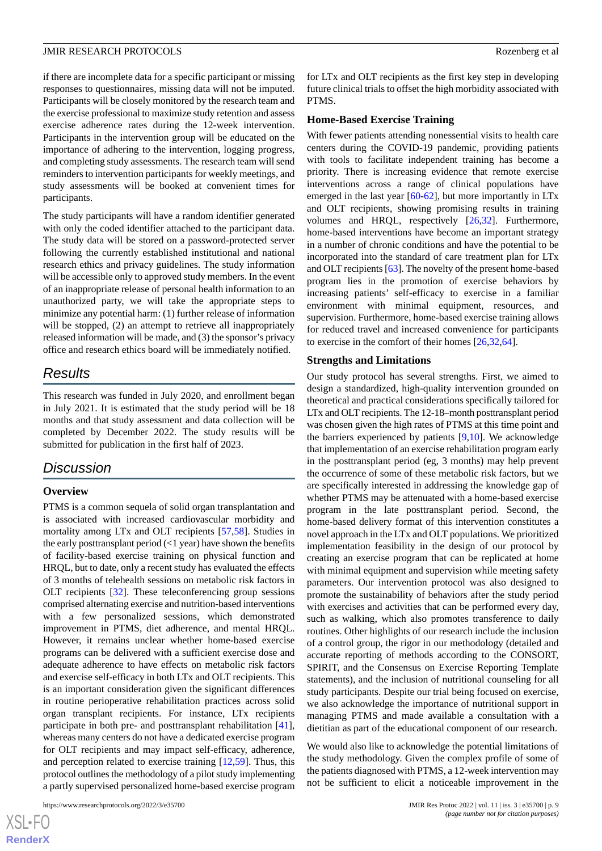if there are incomplete data for a specific participant or missing responses to questionnaires, missing data will not be imputed. Participants will be closely monitored by the research team and the exercise professional to maximize study retention and assess exercise adherence rates during the 12-week intervention. Participants in the intervention group will be educated on the importance of adhering to the intervention, logging progress, and completing study assessments. The research team will send reminders to intervention participants for weekly meetings, and study assessments will be booked at convenient times for participants.

The study participants will have a random identifier generated with only the coded identifier attached to the participant data. The study data will be stored on a password-protected server following the currently established institutional and national research ethics and privacy guidelines. The study information will be accessible only to approved study members. In the event of an inappropriate release of personal health information to an unauthorized party, we will take the appropriate steps to minimize any potential harm: (1) further release of information will be stopped, (2) an attempt to retrieve all inappropriately released information will be made, and (3) the sponsor's privacy office and research ethics board will be immediately notified.

# *Results*

This research was funded in July 2020, and enrollment began in July 2021. It is estimated that the study period will be 18 months and that study assessment and data collection will be completed by December 2022. The study results will be submitted for publication in the first half of 2023.

# *Discussion*

# **Overview**

PTMS is a common sequela of solid organ transplantation and is associated with increased cardiovascular morbidity and mortality among LTx and OLT recipients [\[57](#page-12-14),[58\]](#page-12-15). Studies in the early posttransplant period  $\left($ <1 year) have shown the benefits of facility-based exercise training on physical function and HRQL, but to date, only a recent study has evaluated the effects of 3 months of telehealth sessions on metabolic risk factors in OLT recipients [[32\]](#page-11-6). These teleconferencing group sessions comprised alternating exercise and nutrition-based interventions with a few personalized sessions, which demonstrated improvement in PTMS, diet adherence, and mental HRQL. However, it remains unclear whether home-based exercise programs can be delivered with a sufficient exercise dose and adequate adherence to have effects on metabolic risk factors and exercise self-efficacy in both LTx and OLT recipients. This is an important consideration given the significant differences in routine perioperative rehabilitation practices across solid organ transplant recipients. For instance, LTx recipients participate in both pre- and posttransplant rehabilitation [[41\]](#page-11-15), whereas many centers do not have a dedicated exercise program for OLT recipients and may impact self-efficacy, adherence, and perception related to exercise training [\[12](#page-10-8)[,59](#page-12-16)]. Thus, this protocol outlines the methodology of a pilot study implementing a partly supervised personalized home-based exercise program

```
https://www.researchprotocols.org/2022/3/e35700 JMIR Res Protoc 2022 | vol. 11 | iss. 3 | e35700 | p. 9
```
for LTx and OLT recipients as the first key step in developing future clinical trials to offset the high morbidity associated with PTMS.

#### **Home-Based Exercise Training**

With fewer patients attending nonessential visits to health care centers during the COVID-19 pandemic, providing patients with tools to facilitate independent training has become a priority. There is increasing evidence that remote exercise interventions across a range of clinical populations have emerged in the last year [\[60](#page-12-17)[-62](#page-12-18)], but more importantly in LTx and OLT recipients, showing promising results in training volumes and HRQL, respectively [\[26](#page-11-1),[32\]](#page-11-6). Furthermore, home-based interventions have become an important strategy in a number of chronic conditions and have the potential to be incorporated into the standard of care treatment plan for LTx and OLT recipients [[63\]](#page-12-19). The novelty of the present home-based program lies in the promotion of exercise behaviors by increasing patients' self-efficacy to exercise in a familiar environment with minimal equipment, resources, and supervision. Furthermore, home-based exercise training allows for reduced travel and increased convenience for participants to exercise in the comfort of their homes [[26,](#page-11-1)[32](#page-11-6),[64\]](#page-12-20).

#### **Strengths and Limitations**

Our study protocol has several strengths. First, we aimed to design a standardized, high-quality intervention grounded on theoretical and practical considerations specifically tailored for LTx and OLT recipients. The 12-18–month posttransplant period was chosen given the high rates of PTMS at this time point and the barriers experienced by patients  $[9,10]$  $[9,10]$  $[9,10]$  $[9,10]$ . We acknowledge that implementation of an exercise rehabilitation program early in the posttransplant period (eg, 3 months) may help prevent the occurrence of some of these metabolic risk factors, but we are specifically interested in addressing the knowledge gap of whether PTMS may be attenuated with a home-based exercise program in the late posttransplant period. Second, the home-based delivery format of this intervention constitutes a novel approach in the LTx and OLT populations. We prioritized implementation feasibility in the design of our protocol by creating an exercise program that can be replicated at home with minimal equipment and supervision while meeting safety parameters. Our intervention protocol was also designed to promote the sustainability of behaviors after the study period with exercises and activities that can be performed every day, such as walking, which also promotes transference to daily routines. Other highlights of our research include the inclusion of a control group, the rigor in our methodology (detailed and accurate reporting of methods according to the CONSORT, SPIRIT, and the Consensus on Exercise Reporting Template statements), and the inclusion of nutritional counseling for all study participants. Despite our trial being focused on exercise, we also acknowledge the importance of nutritional support in managing PTMS and made available a consultation with a dietitian as part of the educational component of our research.

We would also like to acknowledge the potential limitations of the study methodology. Given the complex profile of some of the patients diagnosed with PTMS, a 12-week intervention may not be sufficient to elicit a noticeable improvement in the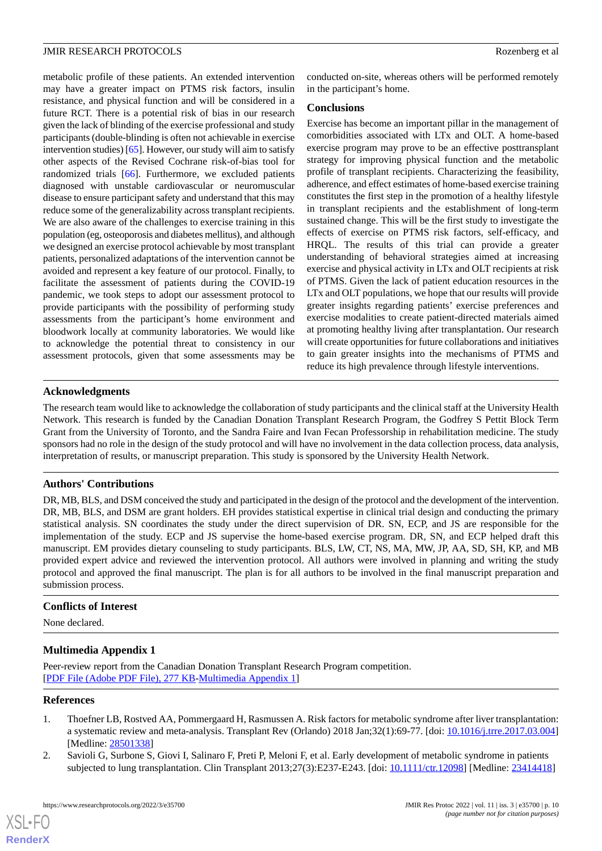metabolic profile of these patients. An extended intervention may have a greater impact on PTMS risk factors, insulin resistance, and physical function and will be considered in a future RCT. There is a potential risk of bias in our research given the lack of blinding of the exercise professional and study participants (double-blinding is often not achievable in exercise intervention studies) [\[65](#page-13-0)]. However, our study will aim to satisfy other aspects of the Revised Cochrane risk-of-bias tool for randomized trials [[66\]](#page-13-1). Furthermore, we excluded patients diagnosed with unstable cardiovascular or neuromuscular disease to ensure participant safety and understand that this may reduce some of the generalizability across transplant recipients. We are also aware of the challenges to exercise training in this population (eg, osteoporosis and diabetes mellitus), and although we designed an exercise protocol achievable by most transplant patients, personalized adaptations of the intervention cannot be avoided and represent a key feature of our protocol. Finally, to facilitate the assessment of patients during the COVID-19 pandemic, we took steps to adopt our assessment protocol to provide participants with the possibility of performing study assessments from the participant's home environment and bloodwork locally at community laboratories. We would like to acknowledge the potential threat to consistency in our assessment protocols, given that some assessments may be

conducted on-site, whereas others will be performed remotely in the participant's home.

#### **Conclusions**

Exercise has become an important pillar in the management of comorbidities associated with LTx and OLT. A home-based exercise program may prove to be an effective posttransplant strategy for improving physical function and the metabolic profile of transplant recipients. Characterizing the feasibility, adherence, and effect estimates of home-based exercise training constitutes the first step in the promotion of a healthy lifestyle in transplant recipients and the establishment of long-term sustained change. This will be the first study to investigate the effects of exercise on PTMS risk factors, self-efficacy, and HRQL. The results of this trial can provide a greater understanding of behavioral strategies aimed at increasing exercise and physical activity in LTx and OLT recipients at risk of PTMS. Given the lack of patient education resources in the LTx and OLT populations, we hope that our results will provide greater insights regarding patients' exercise preferences and exercise modalities to create patient-directed materials aimed at promoting healthy living after transplantation. Our research will create opportunities for future collaborations and initiatives to gain greater insights into the mechanisms of PTMS and reduce its high prevalence through lifestyle interventions.

# **Acknowledgments**

The research team would like to acknowledge the collaboration of study participants and the clinical staff at the University Health Network. This research is funded by the Canadian Donation Transplant Research Program, the Godfrey S Pettit Block Term Grant from the University of Toronto, and the Sandra Faire and Ivan Fecan Professorship in rehabilitation medicine. The study sponsors had no role in the design of the study protocol and will have no involvement in the data collection process, data analysis, interpretation of results, or manuscript preparation. This study is sponsored by the University Health Network.

# **Authors' Contributions**

DR, MB, BLS, and DSM conceived the study and participated in the design of the protocol and the development of the intervention. DR, MB, BLS, and DSM are grant holders. EH provides statistical expertise in clinical trial design and conducting the primary statistical analysis. SN coordinates the study under the direct supervision of DR. SN, ECP, and JS are responsible for the implementation of the study. ECP and JS supervise the home-based exercise program. DR, SN, and ECP helped draft this manuscript. EM provides dietary counseling to study participants. BLS, LW, CT, NS, MA, MW, JP, AA, SD, SH, KP, and MB provided expert advice and reviewed the intervention protocol. All authors were involved in planning and writing the study protocol and approved the final manuscript. The plan is for all authors to be involved in the final manuscript preparation and submission process.

#### <span id="page-9-2"></span>**Conflicts of Interest**

None declared.

# <span id="page-9-0"></span>**Multimedia Appendix 1**

<span id="page-9-1"></span>Peer-review report from the Canadian Donation Transplant Research Program competition. [[PDF File \(Adobe PDF File\), 277 KB](https://jmir.org/api/download?alt_name=resprot_v11i3e35700_app1.pdf&filename=61b34a09812b00124a8c1f86fff305a5.pdf)-[Multimedia Appendix 1\]](https://jmir.org/api/download?alt_name=resprot_v11i3e35700_app1.pdf&filename=61b34a09812b00124a8c1f86fff305a5.pdf)

#### **References**

- 1. Thoefner LB, Rostved AA, Pommergaard H, Rasmussen A. Risk factors for metabolic syndrome after liver transplantation: a systematic review and meta-analysis. Transplant Rev (Orlando) 2018 Jan;32(1):69-77. [doi: [10.1016/j.trre.2017.03.004](http://dx.doi.org/10.1016/j.trre.2017.03.004)] [Medline: [28501338](http://www.ncbi.nlm.nih.gov/entrez/query.fcgi?cmd=Retrieve&db=PubMed&list_uids=28501338&dopt=Abstract)]
- 2. Savioli G, Surbone S, Giovi I, Salinaro F, Preti P, Meloni F, et al. Early development of metabolic syndrome in patients subjected to lung transplantation. Clin Transplant 2013;27(3):E237-E243. [doi: [10.1111/ctr.12098](http://dx.doi.org/10.1111/ctr.12098)] [Medline: [23414418](http://www.ncbi.nlm.nih.gov/entrez/query.fcgi?cmd=Retrieve&db=PubMed&list_uids=23414418&dopt=Abstract)]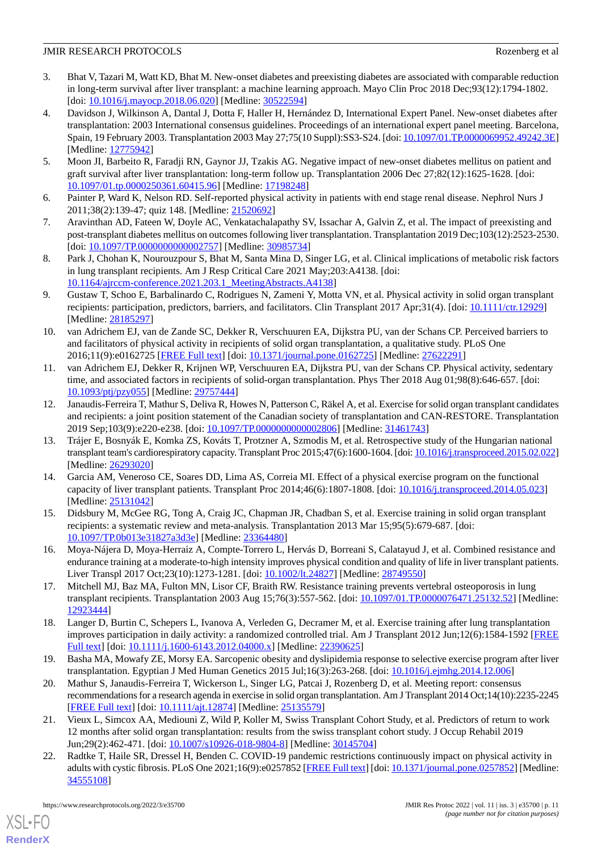- <span id="page-10-0"></span>3. Bhat V, Tazari M, Watt KD, Bhat M. New-onset diabetes and preexisting diabetes are associated with comparable reduction in long-term survival after liver transplant: a machine learning approach. Mayo Clin Proc 2018 Dec;93(12):1794-1802. [doi: [10.1016/j.mayocp.2018.06.020\]](http://dx.doi.org/10.1016/j.mayocp.2018.06.020) [Medline: [30522594](http://www.ncbi.nlm.nih.gov/entrez/query.fcgi?cmd=Retrieve&db=PubMed&list_uids=30522594&dopt=Abstract)]
- 4. Davidson J, Wilkinson A, Dantal J, Dotta F, Haller H, Hernández D, International Expert Panel. New-onset diabetes after transplantation: 2003 International consensus guidelines. Proceedings of an international expert panel meeting. Barcelona, Spain, 19 February 2003. Transplantation 2003 May 27;75(10 Suppl):SS3-S24. [doi: [10.1097/01.TP.0000069952.49242.3E\]](http://dx.doi.org/10.1097/01.TP.0000069952.49242.3E) [Medline: [12775942](http://www.ncbi.nlm.nih.gov/entrez/query.fcgi?cmd=Retrieve&db=PubMed&list_uids=12775942&dopt=Abstract)]
- <span id="page-10-2"></span><span id="page-10-1"></span>5. Moon JI, Barbeito R, Faradji RN, Gaynor JJ, Tzakis AG. Negative impact of new-onset diabetes mellitus on patient and graft survival after liver transplantation: long-term follow up. Transplantation 2006 Dec 27;82(12):1625-1628. [doi: [10.1097/01.tp.0000250361.60415.96\]](http://dx.doi.org/10.1097/01.tp.0000250361.60415.96) [Medline: [17198248](http://www.ncbi.nlm.nih.gov/entrez/query.fcgi?cmd=Retrieve&db=PubMed&list_uids=17198248&dopt=Abstract)]
- <span id="page-10-3"></span>6. Painter P, Ward K, Nelson RD. Self-reported physical activity in patients with end stage renal disease. Nephrol Nurs J 2011;38(2):139-47; quiz 148. [Medline: [21520692](http://www.ncbi.nlm.nih.gov/entrez/query.fcgi?cmd=Retrieve&db=PubMed&list_uids=21520692&dopt=Abstract)]
- <span id="page-10-4"></span>7. Aravinthan AD, Fateen W, Doyle AC, Venkatachalapathy SV, Issachar A, Galvin Z, et al. The impact of preexisting and post-transplant diabetes mellitus on outcomes following liver transplantation. Transplantation 2019 Dec;103(12):2523-2530. [doi: [10.1097/TP.0000000000002757](http://dx.doi.org/10.1097/TP.0000000000002757)] [Medline: [30985734](http://www.ncbi.nlm.nih.gov/entrez/query.fcgi?cmd=Retrieve&db=PubMed&list_uids=30985734&dopt=Abstract)]
- <span id="page-10-5"></span>8. Park J, Chohan K, Nourouzpour S, Bhat M, Santa Mina D, Singer LG, et al. Clinical implications of metabolic risk factors in lung transplant recipients. Am J Resp Critical Care 2021 May;203:A4138. [doi: [10.1164/ajrccm-conference.2021.203.1\\_MeetingAbstracts.A4138\]](http://dx.doi.org/10.1164/ajrccm-conference.2021.203.1_MeetingAbstracts.A4138)
- <span id="page-10-6"></span>9. Gustaw T, Schoo E, Barbalinardo C, Rodrigues N, Zameni Y, Motta VN, et al. Physical activity in solid organ transplant recipients: participation, predictors, barriers, and facilitators. Clin Transplant 2017 Apr;31(4). [doi: [10.1111/ctr.12929\]](http://dx.doi.org/10.1111/ctr.12929) [Medline: [28185297](http://www.ncbi.nlm.nih.gov/entrez/query.fcgi?cmd=Retrieve&db=PubMed&list_uids=28185297&dopt=Abstract)]
- <span id="page-10-7"></span>10. van Adrichem EJ, van de Zande SC, Dekker R, Verschuuren EA, Dijkstra PU, van der Schans CP. Perceived barriers to and facilitators of physical activity in recipients of solid organ transplantation, a qualitative study. PLoS One 2016;11(9):e0162725 [\[FREE Full text](https://dx.plos.org/10.1371/journal.pone.0162725)] [doi: [10.1371/journal.pone.0162725\]](http://dx.doi.org/10.1371/journal.pone.0162725) [Medline: [27622291\]](http://www.ncbi.nlm.nih.gov/entrez/query.fcgi?cmd=Retrieve&db=PubMed&list_uids=27622291&dopt=Abstract)
- <span id="page-10-8"></span>11. van Adrichem EJ, Dekker R, Krijnen WP, Verschuuren EA, Dijkstra PU, van der Schans CP. Physical activity, sedentary time, and associated factors in recipients of solid-organ transplantation. Phys Ther 2018 Aug 01;98(8):646-657. [doi: [10.1093/ptj/pzy055\]](http://dx.doi.org/10.1093/ptj/pzy055) [Medline: [29757444](http://www.ncbi.nlm.nih.gov/entrez/query.fcgi?cmd=Retrieve&db=PubMed&list_uids=29757444&dopt=Abstract)]
- <span id="page-10-9"></span>12. Janaudis-Ferreira T, Mathur S, Deliva R, Howes N, Patterson C, Räkel A, et al. Exercise for solid organ transplant candidates and recipients: a joint position statement of the Canadian society of transplantation and CAN-RESTORE. Transplantation 2019 Sep;103(9):e220-e238. [doi: [10.1097/TP.0000000000002806](http://dx.doi.org/10.1097/TP.0000000000002806)] [Medline: [31461743\]](http://www.ncbi.nlm.nih.gov/entrez/query.fcgi?cmd=Retrieve&db=PubMed&list_uids=31461743&dopt=Abstract)
- <span id="page-10-10"></span>13. Trájer E, Bosnyák E, Komka ZS, Kováts T, Protzner A, Szmodis M, et al. Retrospective study of the Hungarian national transplant team's cardiorespiratory capacity. Transplant Proc 2015;47(6):1600-1604. [doi: [10.1016/j.transproceed.2015.02.022\]](http://dx.doi.org/10.1016/j.transproceed.2015.02.022) [Medline: [26293020](http://www.ncbi.nlm.nih.gov/entrez/query.fcgi?cmd=Retrieve&db=PubMed&list_uids=26293020&dopt=Abstract)]
- <span id="page-10-11"></span>14. Garcia AM, Veneroso CE, Soares DD, Lima AS, Correia MI. Effect of a physical exercise program on the functional capacity of liver transplant patients. Transplant Proc 2014;46(6):1807-1808. [doi: [10.1016/j.transproceed.2014.05.023](http://dx.doi.org/10.1016/j.transproceed.2014.05.023)] [Medline: [25131042](http://www.ncbi.nlm.nih.gov/entrez/query.fcgi?cmd=Retrieve&db=PubMed&list_uids=25131042&dopt=Abstract)]
- <span id="page-10-12"></span>15. Didsbury M, McGee RG, Tong A, Craig JC, Chapman JR, Chadban S, et al. Exercise training in solid organ transplant recipients: a systematic review and meta-analysis. Transplantation 2013 Mar 15;95(5):679-687. [doi: [10.1097/TP.0b013e31827a3d3e](http://dx.doi.org/10.1097/TP.0b013e31827a3d3e)] [Medline: [23364480\]](http://www.ncbi.nlm.nih.gov/entrez/query.fcgi?cmd=Retrieve&db=PubMed&list_uids=23364480&dopt=Abstract)
- 16. Moya-Nájera D, Moya-Herraiz A, Compte-Torrero L, Hervás D, Borreani S, Calatayud J, et al. Combined resistance and endurance training at a moderate-to-high intensity improves physical condition and quality of life in liver transplant patients. Liver Transpl 2017 Oct;23(10):1273-1281. [doi: [10.1002/lt.24827](http://dx.doi.org/10.1002/lt.24827)] [Medline: [28749550\]](http://www.ncbi.nlm.nih.gov/entrez/query.fcgi?cmd=Retrieve&db=PubMed&list_uids=28749550&dopt=Abstract)
- <span id="page-10-13"></span>17. Mitchell MJ, Baz MA, Fulton MN, Lisor CF, Braith RW. Resistance training prevents vertebral osteoporosis in lung transplant recipients. Transplantation 2003 Aug 15;76(3):557-562. [doi: [10.1097/01.TP.0000076471.25132.52](http://dx.doi.org/10.1097/01.TP.0000076471.25132.52)] [Medline: [12923444](http://www.ncbi.nlm.nih.gov/entrez/query.fcgi?cmd=Retrieve&db=PubMed&list_uids=12923444&dopt=Abstract)]
- <span id="page-10-14"></span>18. Langer D, Burtin C, Schepers L, Ivanova A, Verleden G, Decramer M, et al. Exercise training after lung transplantation improves participation in daily activity: a randomized controlled trial. Am J Transplant 2012 Jun;12(6):1584-1592 [\[FREE](https://doi.org/10.1111/j.1600-6143.2012.04000.x) [Full text\]](https://doi.org/10.1111/j.1600-6143.2012.04000.x) [doi: [10.1111/j.1600-6143.2012.04000.x\]](http://dx.doi.org/10.1111/j.1600-6143.2012.04000.x) [Medline: [22390625](http://www.ncbi.nlm.nih.gov/entrez/query.fcgi?cmd=Retrieve&db=PubMed&list_uids=22390625&dopt=Abstract)]
- <span id="page-10-15"></span>19. Basha MA, Mowafy ZE, Morsy EA. Sarcopenic obesity and dyslipidemia response to selective exercise program after liver transplantation. Egyptian J Med Human Genetics 2015 Jul;16(3):263-268. [doi: [10.1016/j.ejmhg.2014.12.006](http://dx.doi.org/10.1016/j.ejmhg.2014.12.006)]
- <span id="page-10-16"></span>20. Mathur S, Janaudis-Ferreira T, Wickerson L, Singer LG, Patcai J, Rozenberg D, et al. Meeting report: consensus recommendations for a research agenda in exercise in solid organ transplantation. Am J Transplant 2014 Oct;14(10):2235-2245 [[FREE Full text](https://doi.org/10.1111/ajt.12874)] [doi: [10.1111/ajt.12874](http://dx.doi.org/10.1111/ajt.12874)] [Medline: [25135579](http://www.ncbi.nlm.nih.gov/entrez/query.fcgi?cmd=Retrieve&db=PubMed&list_uids=25135579&dopt=Abstract)]
- 21. Vieux L, Simcox AA, Mediouni Z, Wild P, Koller M, Swiss Transplant Cohort Study, et al. Predictors of return to work 12 months after solid organ transplantation: results from the swiss transplant cohort study. J Occup Rehabil 2019 Jun;29(2):462-471. [doi: [10.1007/s10926-018-9804-8\]](http://dx.doi.org/10.1007/s10926-018-9804-8) [Medline: [30145704](http://www.ncbi.nlm.nih.gov/entrez/query.fcgi?cmd=Retrieve&db=PubMed&list_uids=30145704&dopt=Abstract)]
- 22. Radtke T, Haile SR, Dressel H, Benden C. COVID-19 pandemic restrictions continuously impact on physical activity in adults with cystic fibrosis. PLoS One 2021;16(9):e0257852 [\[FREE Full text\]](https://dx.plos.org/10.1371/journal.pone.0257852) [doi: [10.1371/journal.pone.0257852\]](http://dx.doi.org/10.1371/journal.pone.0257852) [Medline: [34555108](http://www.ncbi.nlm.nih.gov/entrez/query.fcgi?cmd=Retrieve&db=PubMed&list_uids=34555108&dopt=Abstract)]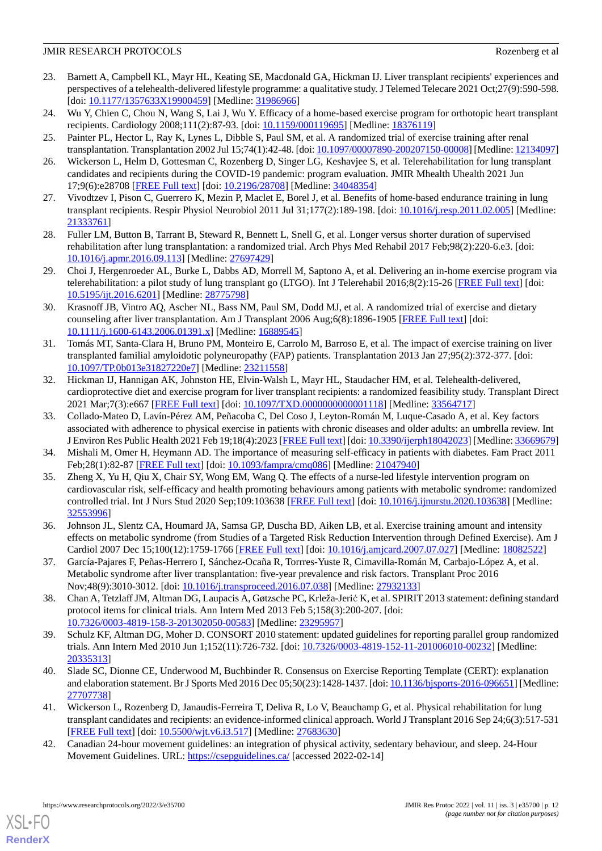- <span id="page-11-0"></span>23. Barnett A, Campbell KL, Mayr HL, Keating SE, Macdonald GA, Hickman IJ. Liver transplant recipients' experiences and perspectives of a telehealth-delivered lifestyle programme: a qualitative study. J Telemed Telecare 2021 Oct;27(9):590-598. [doi: [10.1177/1357633X19900459](http://dx.doi.org/10.1177/1357633X19900459)] [Medline: [31986966](http://www.ncbi.nlm.nih.gov/entrez/query.fcgi?cmd=Retrieve&db=PubMed&list_uids=31986966&dopt=Abstract)]
- 24. Wu Y, Chien C, Chou N, Wang S, Lai J, Wu Y. Efficacy of a home-based exercise program for orthotopic heart transplant recipients. Cardiology 2008;111(2):87-93. [doi: [10.1159/000119695](http://dx.doi.org/10.1159/000119695)] [Medline: [18376119\]](http://www.ncbi.nlm.nih.gov/entrez/query.fcgi?cmd=Retrieve&db=PubMed&list_uids=18376119&dopt=Abstract)
- <span id="page-11-1"></span>25. Painter PL, Hector L, Ray K, Lynes L, Dibble S, Paul SM, et al. A randomized trial of exercise training after renal transplantation. Transplantation 2002 Jul 15;74(1):42-48. [doi: [10.1097/00007890-200207150-00008\]](http://dx.doi.org/10.1097/00007890-200207150-00008) [Medline: [12134097](http://www.ncbi.nlm.nih.gov/entrez/query.fcgi?cmd=Retrieve&db=PubMed&list_uids=12134097&dopt=Abstract)]
- <span id="page-11-2"></span>26. Wickerson L, Helm D, Gottesman C, Rozenberg D, Singer LG, Keshavjee S, et al. Telerehabilitation for lung transplant candidates and recipients during the COVID-19 pandemic: program evaluation. JMIR Mhealth Uhealth 2021 Jun 17;9(6):e28708 [\[FREE Full text](https://mhealth.jmir.org/2021/6/e28708/)] [doi: [10.2196/28708\]](http://dx.doi.org/10.2196/28708) [Medline: [34048354\]](http://www.ncbi.nlm.nih.gov/entrez/query.fcgi?cmd=Retrieve&db=PubMed&list_uids=34048354&dopt=Abstract)
- 27. Vivodtzev I, Pison C, Guerrero K, Mezin P, Maclet E, Borel J, et al. Benefits of home-based endurance training in lung transplant recipients. Respir Physiol Neurobiol 2011 Jul 31;177(2):189-198. [doi: [10.1016/j.resp.2011.02.005\]](http://dx.doi.org/10.1016/j.resp.2011.02.005) [Medline: [21333761](http://www.ncbi.nlm.nih.gov/entrez/query.fcgi?cmd=Retrieve&db=PubMed&list_uids=21333761&dopt=Abstract)]
- <span id="page-11-3"></span>28. Fuller LM, Button B, Tarrant B, Steward R, Bennett L, Snell G, et al. Longer versus shorter duration of supervised rehabilitation after lung transplantation: a randomized trial. Arch Phys Med Rehabil 2017 Feb;98(2):220-6.e3. [doi: [10.1016/j.apmr.2016.09.113\]](http://dx.doi.org/10.1016/j.apmr.2016.09.113) [Medline: [27697429](http://www.ncbi.nlm.nih.gov/entrez/query.fcgi?cmd=Retrieve&db=PubMed&list_uids=27697429&dopt=Abstract)]
- <span id="page-11-4"></span>29. Choi J, Hergenroeder AL, Burke L, Dabbs AD, Morrell M, Saptono A, et al. Delivering an in-home exercise program via telerehabilitation: a pilot study of lung transplant go (LTGO). Int J Telerehabil 2016;8(2):15-26 [\[FREE Full text\]](http://europepmc.org/abstract/MED/28775798) [doi: [10.5195/ijt.2016.6201](http://dx.doi.org/10.5195/ijt.2016.6201)] [Medline: [28775798\]](http://www.ncbi.nlm.nih.gov/entrez/query.fcgi?cmd=Retrieve&db=PubMed&list_uids=28775798&dopt=Abstract)
- <span id="page-11-5"></span>30. Krasnoff JB, Vintro AQ, Ascher NL, Bass NM, Paul SM, Dodd MJ, et al. A randomized trial of exercise and dietary counseling after liver transplantation. Am J Transplant 2006 Aug;6(8):1896-1905 [[FREE Full text](https://onlinelibrary.wiley.com/resolve/openurl?genre=article&sid=nlm:pubmed&issn=1600-6135&date=2006&volume=6&issue=8&spage=1896)] [doi: [10.1111/j.1600-6143.2006.01391.x\]](http://dx.doi.org/10.1111/j.1600-6143.2006.01391.x) [Medline: [16889545\]](http://www.ncbi.nlm.nih.gov/entrez/query.fcgi?cmd=Retrieve&db=PubMed&list_uids=16889545&dopt=Abstract)
- <span id="page-11-6"></span>31. Tomás MT, Santa-Clara H, Bruno PM, Monteiro E, Carrolo M, Barroso E, et al. The impact of exercise training on liver transplanted familial amyloidotic polyneuropathy (FAP) patients. Transplantation 2013 Jan 27;95(2):372-377. [doi: [10.1097/TP.0b013e31827220e7\]](http://dx.doi.org/10.1097/TP.0b013e31827220e7) [Medline: [23211558\]](http://www.ncbi.nlm.nih.gov/entrez/query.fcgi?cmd=Retrieve&db=PubMed&list_uids=23211558&dopt=Abstract)
- <span id="page-11-7"></span>32. Hickman IJ, Hannigan AK, Johnston HE, Elvin-Walsh L, Mayr HL, Staudacher HM, et al. Telehealth-delivered, cardioprotective diet and exercise program for liver transplant recipients: a randomized feasibility study. Transplant Direct 2021 Mar;7(3):e667 [\[FREE Full text\]](http://europepmc.org/abstract/MED/33564717) [doi: 10.1097/TXD.000000000001118] [Medline: [33564717\]](http://www.ncbi.nlm.nih.gov/entrez/query.fcgi?cmd=Retrieve&db=PubMed&list_uids=33564717&dopt=Abstract)
- <span id="page-11-9"></span><span id="page-11-8"></span>33. Collado-Mateo D, Lavín-Pérez AM, Peñacoba C, Del Coso J, Leyton-Román M, Luque-Casado A, et al. Key factors associated with adherence to physical exercise in patients with chronic diseases and older adults: an umbrella review. Int J Environ Res Public Health 2021 Feb 19;18(4):2023 [[FREE Full text\]](https://www.mdpi.com/resolver?pii=ijerph18042023) [doi: [10.3390/ijerph18042023](http://dx.doi.org/10.3390/ijerph18042023)] [Medline: [33669679](http://www.ncbi.nlm.nih.gov/entrez/query.fcgi?cmd=Retrieve&db=PubMed&list_uids=33669679&dopt=Abstract)]
- 34. Mishali M, Omer H, Heymann AD. The importance of measuring self-efficacy in patients with diabetes. Fam Pract 2011 Feb;28(1):82-87 [[FREE Full text](http://fampra.oxfordjournals.org/cgi/pmidlookup?view=long&pmid=21047940)] [doi: [10.1093/fampra/cmq086](http://dx.doi.org/10.1093/fampra/cmq086)] [Medline: [21047940\]](http://www.ncbi.nlm.nih.gov/entrez/query.fcgi?cmd=Retrieve&db=PubMed&list_uids=21047940&dopt=Abstract)
- <span id="page-11-10"></span>35. Zheng X, Yu H, Qiu X, Chair SY, Wong EM, Wang Q. The effects of a nurse-led lifestyle intervention program on cardiovascular risk, self-efficacy and health promoting behaviours among patients with metabolic syndrome: randomized controlled trial. Int J Nurs Stud 2020 Sep;109:103638 [\[FREE Full text\]](https://linkinghub.elsevier.com/retrieve/pii/S0020-7489(20)30122-X) [doi: [10.1016/j.ijnurstu.2020.103638](http://dx.doi.org/10.1016/j.ijnurstu.2020.103638)] [Medline: [32553996](http://www.ncbi.nlm.nih.gov/entrez/query.fcgi?cmd=Retrieve&db=PubMed&list_uids=32553996&dopt=Abstract)]
- <span id="page-11-12"></span><span id="page-11-11"></span>36. Johnson JL, Slentz CA, Houmard JA, Samsa GP, Duscha BD, Aiken LB, et al. Exercise training amount and intensity effects on metabolic syndrome (from Studies of a Targeted Risk Reduction Intervention through Defined Exercise). Am J Cardiol 2007 Dec 15;100(12):1759-1766 [\[FREE Full text\]](http://europepmc.org/abstract/MED/18082522) [doi: [10.1016/j.amjcard.2007.07.027](http://dx.doi.org/10.1016/j.amjcard.2007.07.027)] [Medline: [18082522](http://www.ncbi.nlm.nih.gov/entrez/query.fcgi?cmd=Retrieve&db=PubMed&list_uids=18082522&dopt=Abstract)]
- <span id="page-11-13"></span>37. García-Pajares F, Peñas-Herrero I, Sánchez-Ocaña R, Torrres-Yuste R, Cimavilla-Román M, Carbajo-López A, et al. Metabolic syndrome after liver transplantation: five-year prevalence and risk factors. Transplant Proc 2016 Nov;48(9):3010-3012. [doi: [10.1016/j.transproceed.2016.07.038\]](http://dx.doi.org/10.1016/j.transproceed.2016.07.038) [Medline: [27932133](http://www.ncbi.nlm.nih.gov/entrez/query.fcgi?cmd=Retrieve&db=PubMed&list_uids=27932133&dopt=Abstract)]
- <span id="page-11-14"></span>38. Chan A, Tetzlaff JM, Altman DG, Laupacis A, Gøtzsche PC, Krleža-Jerić K, et al. SPIRIT 2013 statement: defining standard protocol items for clinical trials. Ann Intern Med 2013 Feb 5;158(3):200-207. [doi: [10.7326/0003-4819-158-3-201302050-00583](http://dx.doi.org/10.7326/0003-4819-158-3-201302050-00583)] [Medline: [23295957](http://www.ncbi.nlm.nih.gov/entrez/query.fcgi?cmd=Retrieve&db=PubMed&list_uids=23295957&dopt=Abstract)]
- <span id="page-11-15"></span>39. Schulz KF, Altman DG, Moher D. CONSORT 2010 statement: updated guidelines for reporting parallel group randomized trials. Ann Intern Med 2010 Jun 1;152(11):726-732. [doi: [10.7326/0003-4819-152-11-201006010-00232](http://dx.doi.org/10.7326/0003-4819-152-11-201006010-00232)] [Medline: [20335313](http://www.ncbi.nlm.nih.gov/entrez/query.fcgi?cmd=Retrieve&db=PubMed&list_uids=20335313&dopt=Abstract)]
- <span id="page-11-16"></span>40. Slade SC, Dionne CE, Underwood M, Buchbinder R. Consensus on Exercise Reporting Template (CERT): explanation and elaboration statement. Br J Sports Med 2016 Dec 05;50(23):1428-1437. [doi: [10.1136/bjsports-2016-096651](http://dx.doi.org/10.1136/bjsports-2016-096651)] [Medline: [27707738](http://www.ncbi.nlm.nih.gov/entrez/query.fcgi?cmd=Retrieve&db=PubMed&list_uids=27707738&dopt=Abstract)]
- 41. Wickerson L, Rozenberg D, Janaudis-Ferreira T, Deliva R, Lo V, Beauchamp G, et al. Physical rehabilitation for lung transplant candidates and recipients: an evidence-informed clinical approach. World J Transplant 2016 Sep 24;6(3):517-531 [[FREE Full text](https://www.wjgnet.com/2220-3230/full/v6/i3/517.htm)] [doi: [10.5500/wjt.v6.i3.517\]](http://dx.doi.org/10.5500/wjt.v6.i3.517) [Medline: [27683630\]](http://www.ncbi.nlm.nih.gov/entrez/query.fcgi?cmd=Retrieve&db=PubMed&list_uids=27683630&dopt=Abstract)
- 42. Canadian 24-hour movement guidelines: an integration of physical activity, sedentary behaviour, and sleep. 24-Hour Movement Guidelines. URL: <https://csepguidelines.ca/> [accessed 2022-02-14]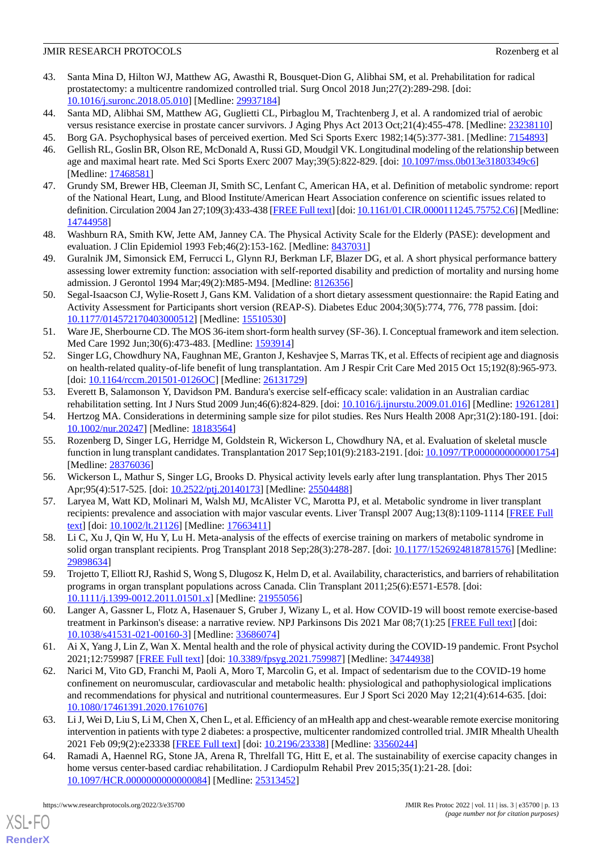- <span id="page-12-0"></span>43. Santa Mina D, Hilton WJ, Matthew AG, Awasthi R, Bousquet-Dion G, Alibhai SM, et al. Prehabilitation for radical prostatectomy: a multicentre randomized controlled trial. Surg Oncol 2018 Jun;27(2):289-298. [doi: [10.1016/j.suronc.2018.05.010](http://dx.doi.org/10.1016/j.suronc.2018.05.010)] [Medline: [29937184](http://www.ncbi.nlm.nih.gov/entrez/query.fcgi?cmd=Retrieve&db=PubMed&list_uids=29937184&dopt=Abstract)]
- <span id="page-12-2"></span><span id="page-12-1"></span>44. Santa MD, Alibhai SM, Matthew AG, Guglietti CL, Pirbaglou M, Trachtenberg J, et al. A randomized trial of aerobic versus resistance exercise in prostate cancer survivors. J Aging Phys Act 2013 Oct;21(4):455-478. [Medline: [23238110](http://www.ncbi.nlm.nih.gov/entrez/query.fcgi?cmd=Retrieve&db=PubMed&list_uids=23238110&dopt=Abstract)]
- <span id="page-12-3"></span>45. Borg GA. Psychophysical bases of perceived exertion. Med Sci Sports Exerc 1982;14(5):377-381. [Medline: [7154893\]](http://www.ncbi.nlm.nih.gov/entrez/query.fcgi?cmd=Retrieve&db=PubMed&list_uids=7154893&dopt=Abstract)
- <span id="page-12-4"></span>46. Gellish RL, Goslin BR, Olson RE, McDonald A, Russi GD, Moudgil VK. Longitudinal modeling of the relationship between age and maximal heart rate. Med Sci Sports Exerc 2007 May;39(5):822-829. [doi: [10.1097/mss.0b013e31803349c6\]](http://dx.doi.org/10.1097/mss.0b013e31803349c6) [Medline: [17468581](http://www.ncbi.nlm.nih.gov/entrez/query.fcgi?cmd=Retrieve&db=PubMed&list_uids=17468581&dopt=Abstract)]
- 47. Grundy SM, Brewer HB, Cleeman JI, Smith SC, Lenfant C, American HA, et al. Definition of metabolic syndrome: report of the National Heart, Lung, and Blood Institute/American Heart Association conference on scientific issues related to definition. Circulation 2004 Jan 27;109(3):433-438 [\[FREE Full text](http://circ.ahajournals.org/cgi/pmidlookup?view=long&pmid=14744958)] [doi: [10.1161/01.CIR.0000111245.75752.C6](http://dx.doi.org/10.1161/01.CIR.0000111245.75752.C6)] [Medline: [14744958](http://www.ncbi.nlm.nih.gov/entrez/query.fcgi?cmd=Retrieve&db=PubMed&list_uids=14744958&dopt=Abstract)]
- <span id="page-12-6"></span><span id="page-12-5"></span>48. Washburn RA, Smith KW, Jette AM, Janney CA. The Physical Activity Scale for the Elderly (PASE): development and evaluation. J Clin Epidemiol 1993 Feb;46(2):153-162. [Medline: [8437031\]](http://www.ncbi.nlm.nih.gov/entrez/query.fcgi?cmd=Retrieve&db=PubMed&list_uids=8437031&dopt=Abstract)
- <span id="page-12-7"></span>49. Guralnik JM, Simonsick EM, Ferrucci L, Glynn RJ, Berkman LF, Blazer DG, et al. A short physical performance battery assessing lower extremity function: association with self-reported disability and prediction of mortality and nursing home admission. J Gerontol 1994 Mar;49(2):M85-M94. [Medline: [8126356\]](http://www.ncbi.nlm.nih.gov/entrez/query.fcgi?cmd=Retrieve&db=PubMed&list_uids=8126356&dopt=Abstract)
- <span id="page-12-8"></span>50. Segal-Isaacson CJ, Wylie-Rosett J, Gans KM. Validation of a short dietary assessment questionnaire: the Rapid Eating and Activity Assessment for Participants short version (REAP-S). Diabetes Educ 2004;30(5):774, 776, 778 passim. [doi: [10.1177/014572170403000512\]](http://dx.doi.org/10.1177/014572170403000512) [Medline: [15510530\]](http://www.ncbi.nlm.nih.gov/entrez/query.fcgi?cmd=Retrieve&db=PubMed&list_uids=15510530&dopt=Abstract)
- <span id="page-12-9"></span>51. Ware JE, Sherbourne CD. The MOS 36-item short-form health survey (SF-36). I. Conceptual framework and item selection. Med Care 1992 Jun;30(6):473-483. [Medline: [1593914\]](http://www.ncbi.nlm.nih.gov/entrez/query.fcgi?cmd=Retrieve&db=PubMed&list_uids=1593914&dopt=Abstract)
- <span id="page-12-10"></span>52. Singer LG, Chowdhury NA, Faughnan ME, Granton J, Keshavjee S, Marras TK, et al. Effects of recipient age and diagnosis on health-related quality-of-life benefit of lung transplantation. Am J Respir Crit Care Med 2015 Oct 15;192(8):965-973. [doi: [10.1164/rccm.201501-0126OC\]](http://dx.doi.org/10.1164/rccm.201501-0126OC) [Medline: [26131729\]](http://www.ncbi.nlm.nih.gov/entrez/query.fcgi?cmd=Retrieve&db=PubMed&list_uids=26131729&dopt=Abstract)
- <span id="page-12-12"></span><span id="page-12-11"></span>53. Everett B, Salamonson Y, Davidson PM. Bandura's exercise self-efficacy scale: validation in an Australian cardiac rehabilitation setting. Int J Nurs Stud 2009 Jun;46(6):824-829. [doi: [10.1016/j.ijnurstu.2009.01.016](http://dx.doi.org/10.1016/j.ijnurstu.2009.01.016)] [Medline: [19261281](http://www.ncbi.nlm.nih.gov/entrez/query.fcgi?cmd=Retrieve&db=PubMed&list_uids=19261281&dopt=Abstract)]
- 54. Hertzog MA. Considerations in determining sample size for pilot studies. Res Nurs Health 2008 Apr;31(2):180-191. [doi: [10.1002/nur.20247](http://dx.doi.org/10.1002/nur.20247)] [Medline: [18183564\]](http://www.ncbi.nlm.nih.gov/entrez/query.fcgi?cmd=Retrieve&db=PubMed&list_uids=18183564&dopt=Abstract)
- <span id="page-12-14"></span><span id="page-12-13"></span>55. Rozenberg D, Singer LG, Herridge M, Goldstein R, Wickerson L, Chowdhury NA, et al. Evaluation of skeletal muscle function in lung transplant candidates. Transplantation 2017 Sep;101(9):2183-2191. [doi: [10.1097/TP.0000000000001754](http://dx.doi.org/10.1097/TP.0000000000001754)] [Medline: [28376036](http://www.ncbi.nlm.nih.gov/entrez/query.fcgi?cmd=Retrieve&db=PubMed&list_uids=28376036&dopt=Abstract)]
- <span id="page-12-15"></span>56. Wickerson L, Mathur S, Singer LG, Brooks D. Physical activity levels early after lung transplantation. Phys Ther 2015 Apr;95(4):517-525. [doi: [10.2522/ptj.20140173](http://dx.doi.org/10.2522/ptj.20140173)] [Medline: [25504488](http://www.ncbi.nlm.nih.gov/entrez/query.fcgi?cmd=Retrieve&db=PubMed&list_uids=25504488&dopt=Abstract)]
- <span id="page-12-16"></span>57. Laryea M, Watt KD, Molinari M, Walsh MJ, McAlister VC, Marotta PJ, et al. Metabolic syndrome in liver transplant recipients: prevalence and association with major vascular events. Liver Transpl 2007 Aug;13(8):1109-1114 [\[FREE Full](https://doi.org/10.1002/lt.21126) [text](https://doi.org/10.1002/lt.21126)] [doi: [10.1002/lt.21126\]](http://dx.doi.org/10.1002/lt.21126) [Medline: [17663411\]](http://www.ncbi.nlm.nih.gov/entrez/query.fcgi?cmd=Retrieve&db=PubMed&list_uids=17663411&dopt=Abstract)
- <span id="page-12-17"></span>58. Li C, Xu J, Qin W, Hu Y, Lu H. Meta-analysis of the effects of exercise training on markers of metabolic syndrome in solid organ transplant recipients. Prog Transplant 2018 Sep;28(3):278-287. [doi: [10.1177/1526924818781576](http://dx.doi.org/10.1177/1526924818781576)] [Medline: [29898634](http://www.ncbi.nlm.nih.gov/entrez/query.fcgi?cmd=Retrieve&db=PubMed&list_uids=29898634&dopt=Abstract)]
- 59. Trojetto T, Elliott RJ, Rashid S, Wong S, Dlugosz K, Helm D, et al. Availability, characteristics, and barriers of rehabilitation programs in organ transplant populations across Canada. Clin Transplant 2011;25(6):E571-E578. [doi: [10.1111/j.1399-0012.2011.01501.x\]](http://dx.doi.org/10.1111/j.1399-0012.2011.01501.x) [Medline: [21955056\]](http://www.ncbi.nlm.nih.gov/entrez/query.fcgi?cmd=Retrieve&db=PubMed&list_uids=21955056&dopt=Abstract)
- <span id="page-12-18"></span>60. Langer A, Gassner L, Flotz A, Hasenauer S, Gruber J, Wizany L, et al. How COVID-19 will boost remote exercise-based treatment in Parkinson's disease: a narrative review. NPJ Parkinsons Dis 2021 Mar 08;7(1):25 [\[FREE Full text\]](https://doi.org/10.1038/s41531-021-00160-3) [doi: [10.1038/s41531-021-00160-3\]](http://dx.doi.org/10.1038/s41531-021-00160-3) [Medline: [33686074\]](http://www.ncbi.nlm.nih.gov/entrez/query.fcgi?cmd=Retrieve&db=PubMed&list_uids=33686074&dopt=Abstract)
- <span id="page-12-19"></span>61. Ai X, Yang J, Lin Z, Wan X. Mental health and the role of physical activity during the COVID-19 pandemic. Front Psychol 2021;12:759987 [[FREE Full text](https://doi.org/10.3389/fpsyg.2021.759987)] [doi: [10.3389/fpsyg.2021.759987](http://dx.doi.org/10.3389/fpsyg.2021.759987)] [Medline: [34744938\]](http://www.ncbi.nlm.nih.gov/entrez/query.fcgi?cmd=Retrieve&db=PubMed&list_uids=34744938&dopt=Abstract)
- <span id="page-12-20"></span>62. Narici M, Vito GD, Franchi M, Paoli A, Moro T, Marcolin G, et al. Impact of sedentarism due to the COVID-19 home confinement on neuromuscular, cardiovascular and metabolic health: physiological and pathophysiological implications and recommendations for physical and nutritional countermeasures. Eur J Sport Sci 2020 May 12;21(4):614-635. [doi: [10.1080/17461391.2020.1761076\]](http://dx.doi.org/10.1080/17461391.2020.1761076)
- 63. Li J, Wei D, Liu S, Li M, Chen X, Chen L, et al. Efficiency of an mHealth app and chest-wearable remote exercise monitoring intervention in patients with type 2 diabetes: a prospective, multicenter randomized controlled trial. JMIR Mhealth Uhealth 2021 Feb 09;9(2):e23338 [\[FREE Full text](https://mhealth.jmir.org/2021/2/e23338/)] [doi: [10.2196/23338\]](http://dx.doi.org/10.2196/23338) [Medline: [33560244\]](http://www.ncbi.nlm.nih.gov/entrez/query.fcgi?cmd=Retrieve&db=PubMed&list_uids=33560244&dopt=Abstract)
- 64. Ramadi A, Haennel RG, Stone JA, Arena R, Threlfall TG, Hitt E, et al. The sustainability of exercise capacity changes in home versus center-based cardiac rehabilitation. J Cardiopulm Rehabil Prev 2015;35(1):21-28. [doi: [10.1097/HCR.0000000000000084\]](http://dx.doi.org/10.1097/HCR.0000000000000084) [Medline: [25313452\]](http://www.ncbi.nlm.nih.gov/entrez/query.fcgi?cmd=Retrieve&db=PubMed&list_uids=25313452&dopt=Abstract)